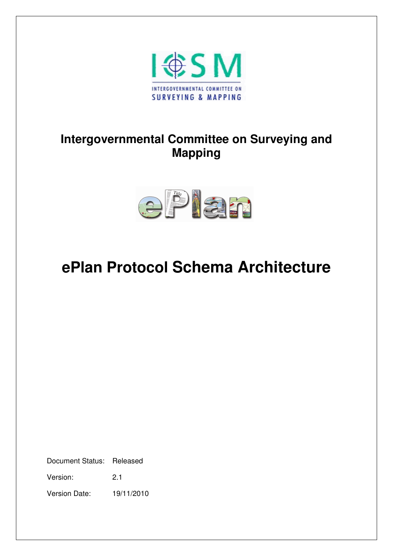

# **Intergovernmental Committee on Surveying and Mapping**



# **ePlan Protocol Schema Architecture**

Document Status: Released

Version: 2.1

Version Date: 19/11/2010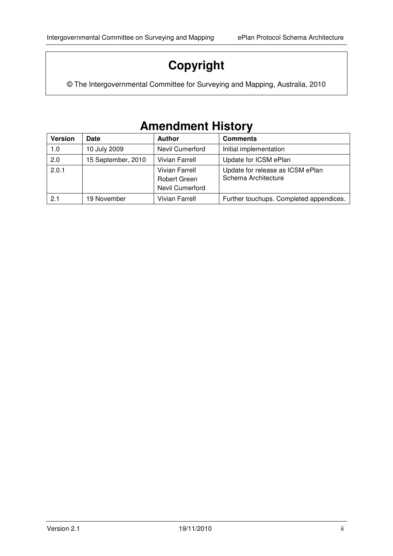# **Copyright**

© The Intergovernmental Committee for Surveying and Mapping, Australia, 2010

# **Amendment History**

| <b>Version</b> | Date               | <b>Author</b>                                            | <b>Comments</b>                                         |
|----------------|--------------------|----------------------------------------------------------|---------------------------------------------------------|
| 1.0            | 10 July 2009       | <b>Nevil Cumerford</b>                                   | Initial implementation                                  |
| 2.0            | 15 September, 2010 | <b>Vivian Farrell</b>                                    | Update for ICSM ePlan                                   |
| 2.0.1          |                    | <b>Vivian Farrell</b><br>Robert Green<br>Nevil Cumerford | Update for release as ICSM ePlan<br>Schema Architecture |
| 2.1            | 19 November        | <b>Vivian Farrell</b>                                    | Further touchups. Completed appendices.                 |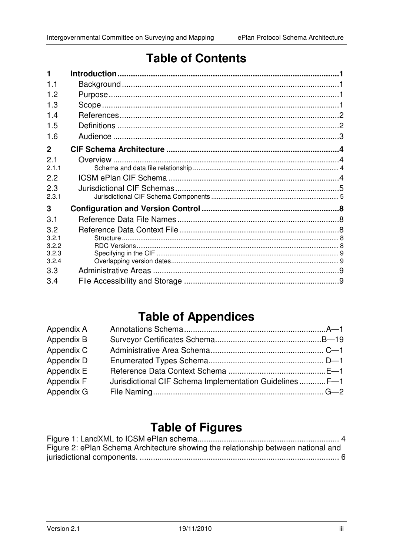# **Table of Contents**

| 1.1            |  |
|----------------|--|
| 1.2            |  |
| 1.3            |  |
| 14             |  |
| 1.5            |  |
| 1.6            |  |
| $\mathbf{2}$   |  |
| 21             |  |
| 211            |  |
| 2.2            |  |
| 2.3            |  |
| 2.3.1          |  |
| 3              |  |
| 3.1            |  |
| 3.2            |  |
| 3.2.1          |  |
| 3.2.2<br>3.2.3 |  |
| 3.2.4          |  |
| 3.3            |  |
| 3.4            |  |

# **Table of Appendices**

| Jurisdictional CIF Schema Implementation Guidelines F-1 |
|---------------------------------------------------------|

# **Table of Figures**

| Figure 2: ePlan Schema Architecture showing the relationship between national and |  |
|-----------------------------------------------------------------------------------|--|
|                                                                                   |  |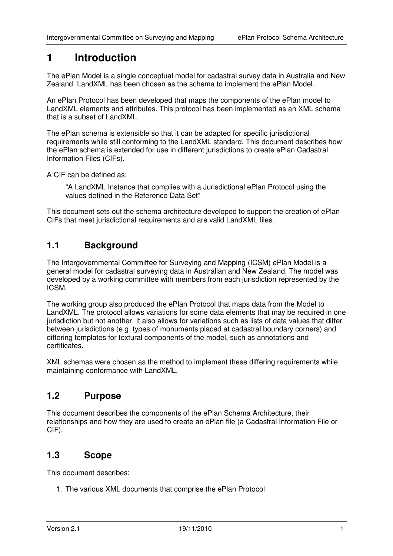# **1 Introduction**

The ePlan Model is a single conceptual model for cadastral survey data in Australia and New Zealand. LandXML has been chosen as the schema to implement the ePlan Model.

An ePlan Protocol has been developed that maps the components of the ePlan model to LandXML elements and attributes. This protocol has been implemented as an XML schema that is a subset of LandXML.

The ePlan schema is extensible so that it can be adapted for specific jurisdictional requirements while still conforming to the LandXML standard. This document describes how the ePlan schema is extended for use in different jurisdictions to create ePlan Cadastral Information Files (CIFs).

A CIF can be defined as:

"A LandXML Instance that complies with a Jurisdictional ePlan Protocol using the values defined in the Reference Data Set"

This document sets out the schema architecture developed to support the creation of ePlan CIFs that meet jurisdictional requirements and are valid LandXML files.

## **1.1 Background**

The Intergovernmental Committee for Surveying and Mapping (ICSM) ePlan Model is a general model for cadastral surveying data in Australian and New Zealand. The model was developed by a working committee with members from each jurisdiction represented by the ICSM.

The working group also produced the ePlan Protocol that maps data from the Model to LandXML. The protocol allows variations for some data elements that may be required in one jurisdiction but not another. It also allows for variations such as lists of data values that differ between jurisdictions (e.g. types of monuments placed at cadastral boundary corners) and differing templates for textural components of the model, such as annotations and certificates.

XML schemas were chosen as the method to implement these differing requirements while maintaining conformance with LandXML.

## **1.2 Purpose**

This document describes the components of the ePlan Schema Architecture, their relationships and how they are used to create an ePlan file (a Cadastral Information File or CIF).

## **1.3 Scope**

This document describes:

1. The various XML documents that comprise the ePlan Protocol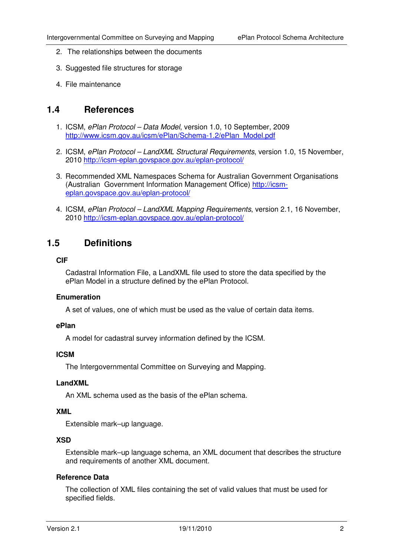- 2. The relationships between the documents
- 3. Suggested file structures for storage
- 4. File maintenance

### **1.4 References**

- 1. ICSM, ePlan Protocol Data Model, version 1.0, 10 September, 2009 http://www.icsm.gov.au/icsm/ePlan/Schema-1.2/ePlan\_Model.pdf
- 2. ICSM, ePlan Protocol LandXML Structural Requirements, version 1.0, 15 November, 2010 http://icsm-eplan.govspace.gov.au/eplan-protocol/
- 3. Recommended XML Namespaces Schema for Australian Government Organisations (Australian Government Information Management Office) http://icsmeplan.govspace.gov.au/eplan-protocol/
- 4. ICSM, ePlan Protocol LandXML Mapping Requirements, version 2.1, 16 November, 2010 http://icsm-eplan.govspace.gov.au/eplan-protocol/

## **1.5 Definitions**

#### **CIF**

Cadastral Information File, a LandXML file used to store the data specified by the ePlan Model in a structure defined by the ePlan Protocol.

#### **Enumeration**

A set of values, one of which must be used as the value of certain data items.

#### **ePlan**

A model for cadastral survey information defined by the ICSM.

#### **ICSM**

The Intergovernmental Committee on Surveying and Mapping.

#### **LandXML**

An XML schema used as the basis of the ePlan schema.

#### **XML**

Extensible mark–up language.

#### **XSD**

Extensible mark–up language schema, an XML document that describes the structure and requirements of another XML document.

#### **Reference Data**

The collection of XML files containing the set of valid values that must be used for specified fields.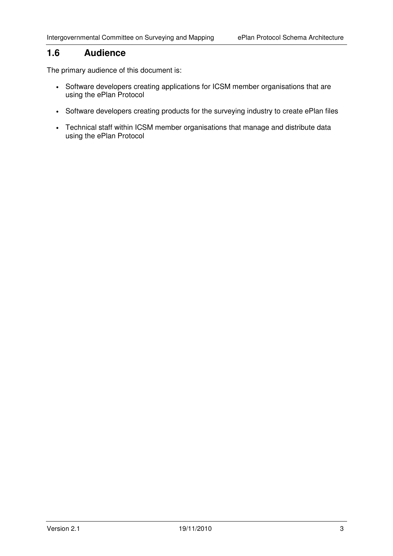## **1.6 Audience**

The primary audience of this document is:

- Software developers creating applications for ICSM member organisations that are using the ePlan Protocol
- Software developers creating products for the surveying industry to create ePlan files
- Technical staff within ICSM member organisations that manage and distribute data using the ePlan Protocol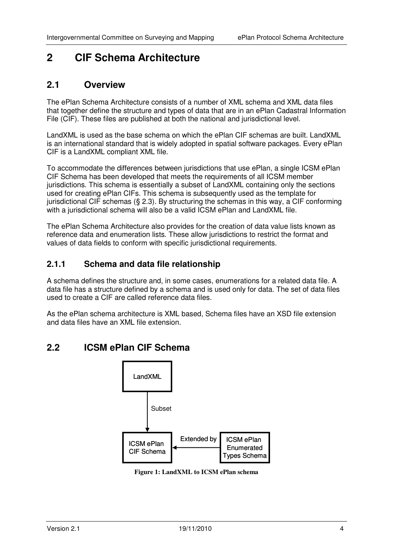# **2 CIF Schema Architecture**

## **2.1 Overview**

The ePlan Schema Architecture consists of a number of XML schema and XML data files that together define the structure and types of data that are in an ePlan Cadastral Information File (CIF). These files are published at both the national and jurisdictional level.

LandXML is used as the base schema on which the ePlan CIF schemas are built. LandXML is an international standard that is widely adopted in spatial software packages. Every ePlan CIF is a LandXML compliant XML file.

To accommodate the differences between jurisdictions that use ePlan, a single ICSM ePlan CIF Schema has been developed that meets the requirements of all ICSM member jurisdictions. This schema is essentially a subset of LandXML containing only the sections used for creating ePlan CIFs. This schema is subsequently used as the template for jurisdictional CIF schemas (§ 2.3). By structuring the schemas in this way, a CIF conforming with a jurisdictional schema will also be a valid ICSM ePlan and LandXML file.

The ePlan Schema Architecture also provides for the creation of data value lists known as reference data and enumeration lists. These allow jurisdictions to restrict the format and values of data fields to conform with specific jurisdictional requirements.

## **2.1.1 Schema and data file relationship**

A schema defines the structure and, in some cases, enumerations for a related data file. A data file has a structure defined by a schema and is used only for data. The set of data files used to create a CIF are called reference data files.

As the ePlan schema architecture is XML based, Schema files have an XSD file extension and data files have an XML file extension.

## **2.2 ICSM ePlan CIF Schema**



**Figure 1: LandXML to ICSM ePlan schema**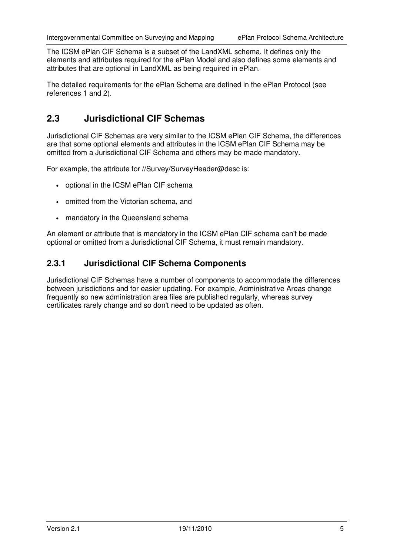The ICSM ePlan CIF Schema is a subset of the LandXML schema. It defines only the elements and attributes required for the ePlan Model and also defines some elements and attributes that are optional in LandXML as being required in ePlan.

The detailed requirements for the ePlan Schema are defined in the ePlan Protocol (see references 1 and 2).

# **2.3 Jurisdictional CIF Schemas**

Jurisdictional CIF Schemas are very similar to the ICSM ePlan CIF Schema, the differences are that some optional elements and attributes in the ICSM ePlan CIF Schema may be omitted from a Jurisdictional CIF Schema and others may be made mandatory.

For example, the attribute for //Survey/SurveyHeader@desc is:

- optional in the ICSM ePlan CIF schema
- omitted from the Victorian schema, and
- mandatory in the Queensland schema

An element or attribute that is mandatory in the ICSM ePlan CIF schema can't be made optional or omitted from a Jurisdictional CIF Schema, it must remain mandatory.

## **2.3.1 Jurisdictional CIF Schema Components**

Jurisdictional CIF Schemas have a number of components to accommodate the differences between jurisdictions and for easier updating. For example, Administrative Areas change frequently so new administration area files are published regularly, whereas survey certificates rarely change and so don't need to be updated as often.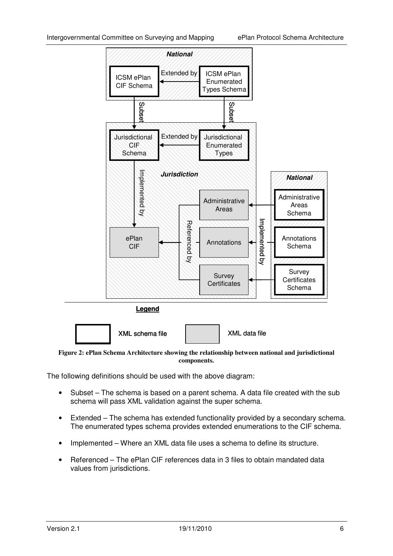

**Figure 2: ePlan Schema Architecture showing the relationship between national and jurisdictional components.** 

The following definitions should be used with the above diagram:

- Subset The schema is based on a parent schema. A data file created with the sub schema will pass XML validation against the super schema.
- Extended The schema has extended functionality provided by a secondary schema. The enumerated types schema provides extended enumerations to the CIF schema.
- Implemented Where an XML data file uses a schema to define its structure.
- Referenced The ePlan CIF references data in 3 files to obtain mandated data values from jurisdictions.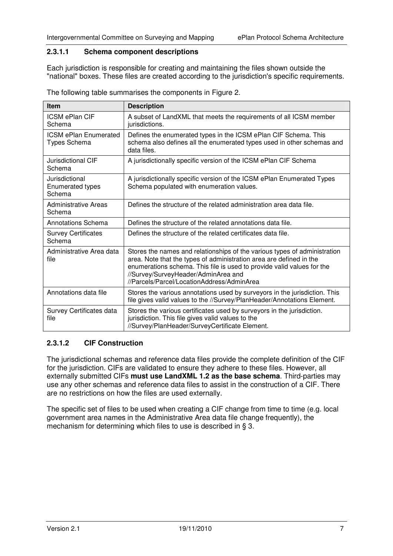#### **2.3.1.1 Schema component descriptions**

Each jurisdiction is responsible for creating and maintaining the files shown outside the "national" boxes. These files are created according to the jurisdiction's specific requirements.

| <b>Item</b>                                         | <b>Description</b>                                                                                                                                                                                                                                                                                              |  |  |  |  |
|-----------------------------------------------------|-----------------------------------------------------------------------------------------------------------------------------------------------------------------------------------------------------------------------------------------------------------------------------------------------------------------|--|--|--|--|
| <b>ICSM ePlan CIF</b><br>Schema                     | A subset of LandXML that meets the requirements of all ICSM member<br>jurisdictions.                                                                                                                                                                                                                            |  |  |  |  |
| <b>ICSM ePlan Enumerated</b><br>Types Schema        | Defines the enumerated types in the ICSM ePlan CIF Schema. This<br>schema also defines all the enumerated types used in other schemas and<br>data files.                                                                                                                                                        |  |  |  |  |
| Jurisdictional CIF<br>Schema                        | A jurisdictionally specific version of the ICSM ePlan CIF Schema                                                                                                                                                                                                                                                |  |  |  |  |
| Jurisdictional<br><b>Enumerated types</b><br>Schema | A jurisdictionally specific version of the ICSM ePlan Enumerated Types<br>Schema populated with enumeration values.                                                                                                                                                                                             |  |  |  |  |
| <b>Administrative Areas</b><br>Schema               | Defines the structure of the related administration area data file.                                                                                                                                                                                                                                             |  |  |  |  |
| <b>Annotations Schema</b>                           | Defines the structure of the related annotations data file.                                                                                                                                                                                                                                                     |  |  |  |  |
| <b>Survey Certificates</b><br>Schema                | Defines the structure of the related certificates data file.                                                                                                                                                                                                                                                    |  |  |  |  |
| Administrative Area data<br>file                    | Stores the names and relationships of the various types of administration<br>area. Note that the types of administration area are defined in the<br>enumerations schema. This file is used to provide valid values for the<br>//Survey/SurveyHeader/AdminArea and<br>//Parcels/Parcel/LocationAddress/AdminArea |  |  |  |  |
| Annotations data file                               | Stores the various annotations used by surveyors in the jurisdiction. This<br>file gives valid values to the //Survey/PlanHeader/Annotations Element.                                                                                                                                                           |  |  |  |  |
| Survey Certificates data<br>file                    | Stores the various certificates used by surveyors in the jurisdiction.<br>jurisdiction. This file gives valid values to the<br>//Survey/PlanHeader/SurveyCertificate Element.                                                                                                                                   |  |  |  |  |

The following table summarises the components in Figure 2.

#### **2.3.1.2 CIF Construction**

The jurisdictional schemas and reference data files provide the complete definition of the CIF for the jurisdiction. CIFs are validated to ensure they adhere to these files. However, all externally submitted CIFs **must use LandXML 1.2 as the base schema**. Third-parties may use any other schemas and reference data files to assist in the construction of a CIF. There are no restrictions on how the files are used externally.

The specific set of files to be used when creating a CIF change from time to time (e.g. local government area names in the Administrative Area data file change frequently), the mechanism for determining which files to use is described in § 3.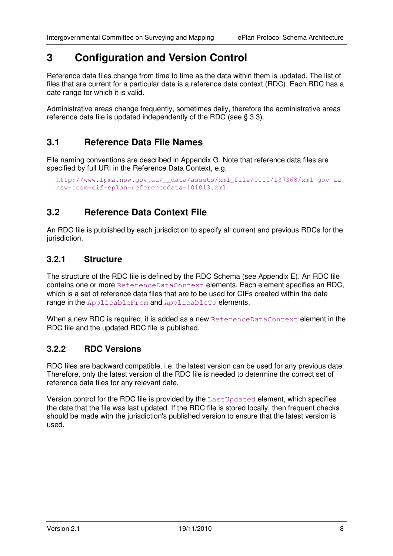# **3 Configuration and Version Control**

Reference data files change from time to time as the data within them is updated. The list of files that are current for a particular date is a reference data context (RDC). Each RDC has a date range for which it is valid.

Administrative areas change frequently, sometimes daily, therefore the administrative areas reference data file is updated independently of the RDC (see § 3.3).

## **3.1 Reference Data File Names**

File naming conventions are described in Appendix G. Note that reference data files are specified by full URI in the Reference Data Context, e.g.

```
http://www.lpma.nsw.gov.au/__data/assets/xml_file/0010/137368/xml-gov-au-
nsw-icsm-cif-eplan-referencedata-101013.xml
```
## **3.2 Reference Data Context File**

An RDC file is published by each jurisdiction to specify all current and previous RDCs for the jurisdiction.

## **3.2.1 Structure**

The structure of the RDC file is defined by the RDC Schema (see Appendix E). An RDC file contains one or more ReferenceDataContext elements. Each element specifies an RDC, which is a set of reference data files that are to be used for CIFs created within the date range in the ApplicableFrom and ApplicableTo elements.

When a new RDC is required, it is added as a new ReferenceDataContext element in the RDC file and the updated RDC file is published.

### **3.2.2 RDC Versions**

RDC files are backward compatible, i.e. the latest version can be used for any previous date. Therefore, only the latest version of the RDC file is needed to determine the correct set of reference data files for any relevant date.

Version control for the RDC file is provided by the LastUpdated element, which specifies the date that the file was last updated. If the RDC file is stored locally, then frequent checks should be made with the jurisdiction's published version to ensure that the latest version is used.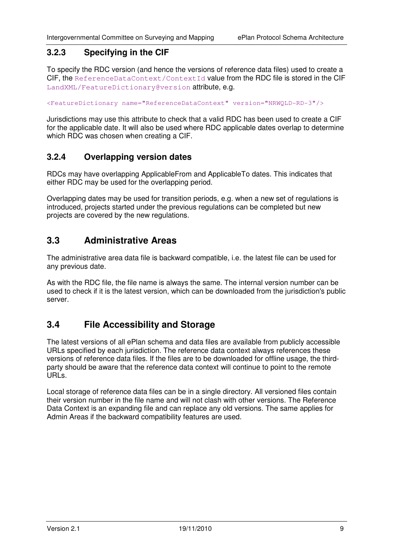## **3.2.3 Specifying in the CIF**

To specify the RDC version (and hence the versions of reference data files) used to create a CIF, the ReferenceDataContext/ContextId value from the RDC file is stored in the CIF LandXML/FeatureDictionary@version attribute, e.g.

<FeatureDictionary name="ReferenceDataContext" version="NRWQLD-RD-3"/>

Jurisdictions may use this attribute to check that a valid RDC has been used to create a CIF for the applicable date. It will also be used where RDC applicable dates overlap to determine which RDC was chosen when creating a CIF.

## **3.2.4 Overlapping version dates**

RDCs may have overlapping ApplicableFrom and ApplicableTo dates. This indicates that either RDC may be used for the overlapping period.

Overlapping dates may be used for transition periods, e.g. when a new set of regulations is introduced, projects started under the previous regulations can be completed but new projects are covered by the new regulations.

## **3.3 Administrative Areas**

The administrative area data file is backward compatible, i.e. the latest file can be used for any previous date.

As with the RDC file, the file name is always the same. The internal version number can be used to check if it is the latest version, which can be downloaded from the jurisdiction's public server.

## **3.4 File Accessibility and Storage**

The latest versions of all ePlan schema and data files are available from publicly accessible URLs specified by each jurisdiction. The reference data context always references these versions of reference data files. If the files are to be downloaded for offline usage, the thirdparty should be aware that the reference data context will continue to point to the remote URLs.

Local storage of reference data files can be in a single directory. All versioned files contain their version number in the file name and will not clash with other versions. The Reference Data Context is an expanding file and can replace any old versions. The same applies for Admin Areas if the backward compatibility features are used.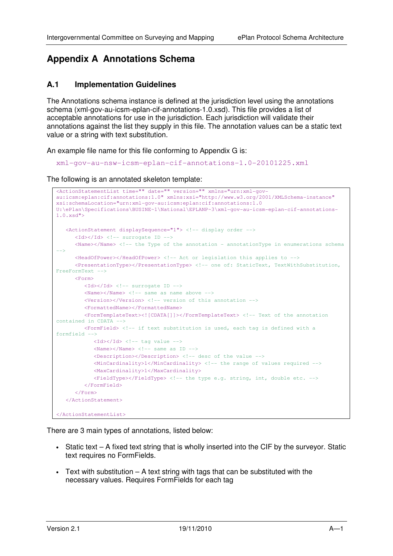# **Appendix A Annotations Schema**

#### **A.1 Implementation Guidelines**

The Annotations schema instance is defined at the jurisdiction level using the annotations schema (xml-gov-au-icsm-eplan-cif-annotations-1.0.xsd). This file provides a list of acceptable annotations for use in the jurisdiction. Each jurisdiction will validate their annotations against the list they supply in this file. The annotation values can be a static text value or a string with text substitution.

An example file name for this file conforming to Appendix G is:

xml-gov-au-nsw-icsm-eplan-cif-annotations-1.0-20101225.xml

The following is an annotated skeleton template:

```
<ActionStatementList time="" date="" version="" xmlns="urn:xml-gov-
au:icsm:eplan:cif:annotations:1.0" xmlns:xsi="http://www.w3.org/2001/XMLSchema-instance" 
xsi:schemaLocation="urn:xml-gov-au:icsm:eplan:cif:annotations:1.0 
U:\ePlan\Specifications\BUSINE~1\National\EPLANP~3\xml-gov-au-icsm-eplan-cif-annotations-
1.0.xsd"> 
    <ActionStatement displaySequence="1"> <!-- display order --> 
      \langleId>\langle/Id> \langle !-- surrogate ID -->
      \langleName>\langleName>\rangle <!-- the Type of the annotation - annotationType in enumerations schema
-->
       <HeadOfPower></HeadOfPower> <!-- Act or legislation this applies to -->
       <PresentationType></PresentationType> <!-- one of: StaticText, TextWithSubstitution, 
FreeFormText --> 
       <Form> 
         <Id></Id> <!-- surrogate ID -->
         \langleName>\langle/Name> \langle!-- same as name above -->
          <Version></Version> <!-- version of this annotation --> 
          <FormattedName></FormattedName> 
          <FormTemplateText><![CDATA[]]></FormTemplateText> <!-- Text of the annotation 
contained in CDATA --> 
          <FormField> <!-- if text substitution is used, each tag is defined with a 
formfield -->
            <Id></Id> <!-- tag value -->\langleName>\langleName>\langle!-- same as ID -->
             <Description></Description> <!-- desc of the value --> 
             <MinCardinality>1</MinCardinality> <!-- the range of values required -->
             <MaxCardinality>1</MaxCardinality> 
             <FieldType></FieldType> <!-- the type e.g. string, int, double etc. --> 
          </FormField> 
       </Form> 
    </ActionStatement> 
</ActionStatementList>
```
There are 3 main types of annotations, listed below:

- Static text A fixed text string that is wholly inserted into the CIF by the surveyor. Static text requires no FormFields.
- Text with substitution  $A$  text string with tags that can be substituted with the necessary values. Requires FormFields for each tag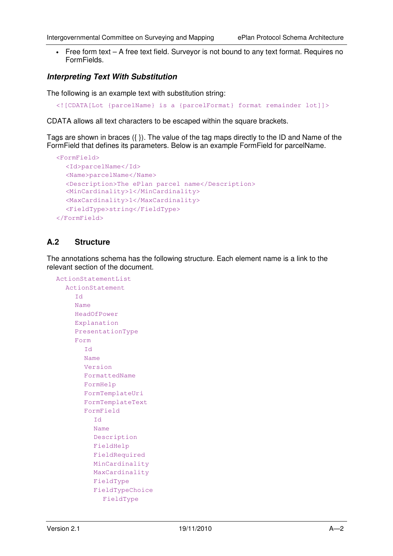• Free form text – A free text field. Surveyor is not bound to any text format. Requires no FormFields.

#### **Interpreting Text With Substitution**

The following is an example text with substitution string:

<![CDATA[Lot {parcelName} is a {parcelFormat} format remainder lot]]>

CDATA allows all text characters to be escaped within the square brackets.

Tags are shown in braces ({ }). The value of the tag maps directly to the ID and Name of the FormField that defines its parameters. Below is an example FormField for parcelName.

```
<FormField> 
   <Id>parcelName</Id> 
   <Name>parcelName</Name> 
   <Description>The ePlan parcel name</Description> 
   <MinCardinality>1</MinCardinality> 
   <MaxCardinality>1</MaxCardinality> 
   <FieldType>string</FieldType> 
</FormField>
```
#### **A.2 Structure**

The annotations schema has the following structure. Each element name is a link to the relevant section of the document.

```
ActionStatementList 
  ActionStatement 
     Id 
     Name 
     HeadOfPower 
     Explanation 
     PresentationType 
     Form 
        Id 
        Name 
        Version 
        FormattedName 
        FormHelp 
        FormTemplateUri 
        FormTemplateText 
        FormField 
          Id 
          Name 
          Description 
          FieldHelp 
          FieldRequired 
          MinCardinality 
          MaxCardinality 
          FieldType 
          FieldTypeChoice 
             FieldType
```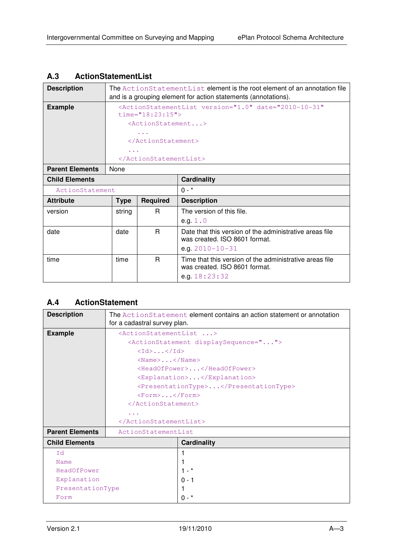## **A.3 ActionStatementList**

| <b>Description</b>     | The ActionStatementList element is the root element of an annotation file<br>and is a grouping element for action statements (annotations). |                                     |                                                                                          |  |
|------------------------|---------------------------------------------------------------------------------------------------------------------------------------------|-------------------------------------|------------------------------------------------------------------------------------------|--|
| <b>Example</b>         |                                                                                                                                             |                                     | <actionstatementlist <="" date="2010-10-31" th="" version="1.0"></actionstatementlist>   |  |
|                        |                                                                                                                                             | $time="18:23:15"$                   |                                                                                          |  |
|                        |                                                                                                                                             | $\langle$ ActionStatement $\rangle$ |                                                                                          |  |
|                        |                                                                                                                                             | $\sim$ $\sim$ $\sim$                |                                                                                          |  |
|                        |                                                                                                                                             | $\langle$ ActionStatement>          |                                                                                          |  |
|                        | $\sim$ $\sim$ $\sim$                                                                                                                        |                                     |                                                                                          |  |
|                        |                                                                                                                                             |                                     |                                                                                          |  |
| <b>Parent Elements</b> | None                                                                                                                                        |                                     |                                                                                          |  |
| <b>Child Elements</b>  |                                                                                                                                             |                                     | <b>Cardinality</b>                                                                       |  |
| ActionStatement        |                                                                                                                                             |                                     | $0 - *$                                                                                  |  |
| <b>Attribute</b>       | <b>Type</b>                                                                                                                                 | <b>Required</b>                     | <b>Description</b>                                                                       |  |
| version                | string                                                                                                                                      | R.                                  | The version of this file.                                                                |  |
|                        |                                                                                                                                             |                                     | e.g. $1.0$                                                                               |  |
| date                   | date                                                                                                                                        | R.                                  | Date that this version of the administrative areas file                                  |  |
|                        |                                                                                                                                             |                                     | was created. ISO 8601 format.                                                            |  |
|                        |                                                                                                                                             |                                     | e.g. $2010 - 10 - 31$                                                                    |  |
| time                   | time                                                                                                                                        | R                                   | Time that this version of the administrative areas file<br>was created. ISO 8601 format. |  |
|                        |                                                                                                                                             |                                     | e.g. $18:23:32$                                                                          |  |

## **A.4 ActionStatement**

| <b>Description</b>     | The ActionStatement element contains an action statement or annotation |  |  |  |
|------------------------|------------------------------------------------------------------------|--|--|--|
|                        | for a cadastral survey plan.                                           |  |  |  |
| <b>Example</b>         | <actionstatementlist></actionstatementlist>                            |  |  |  |
|                        | <actionstatement displaysequence=""></actionstatement>                 |  |  |  |
|                        | $\langle \text{Id} \rangle$ $\langle \text{Id} \rangle$                |  |  |  |
|                        | $<$ Name> $<$ /Name>                                                   |  |  |  |
|                        | <headofpower></headofpower>                                            |  |  |  |
|                        | <explanation></explanation>                                            |  |  |  |
|                        | <presentationtype></presentationtype>                                  |  |  |  |
|                        | $<$ Form> $<$ /Form>                                                   |  |  |  |
|                        |                                                                        |  |  |  |
|                        | $\cdots$                                                               |  |  |  |
|                        |                                                                        |  |  |  |
| <b>Parent Elements</b> | ActionStatementList                                                    |  |  |  |
| <b>Child Elements</b>  | <b>Cardinality</b>                                                     |  |  |  |
| Ιd                     |                                                                        |  |  |  |
| Name                   |                                                                        |  |  |  |
| HeadOfPower            | $1 - *$                                                                |  |  |  |
| Explanation            | $0 - 1$                                                                |  |  |  |
| PresentationType       |                                                                        |  |  |  |
| Form                   | $0 - *$                                                                |  |  |  |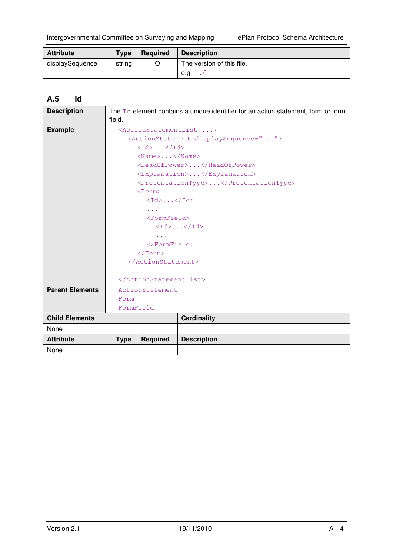| <b>Attribute</b> | <b>Type</b> | Required | <b>Description</b>        |
|------------------|-------------|----------|---------------------------|
| displaySequence  | string      |          | The version of this file. |
|                  |             |          | e.g. $1.0$                |

## **A.5 Id**

| <b>Description</b>     | The $Id$ element contains a unique identifier for an action statement, form or form<br>field. |                                                         |                                                        |
|------------------------|-----------------------------------------------------------------------------------------------|---------------------------------------------------------|--------------------------------------------------------|
| <b>Example</b>         | <actionstatementlist></actionstatementlist>                                                   |                                                         |                                                        |
|                        |                                                                                               |                                                         | <actionstatement displaysequence=""></actionstatement> |
|                        | $\langle \text{Id} \rangle$ $\langle \text{Id} \rangle$                                       |                                                         |                                                        |
|                        |                                                                                               | $\langle$ Name $\rangle$ $\langle$ /Name $\rangle$      |                                                        |
|                        |                                                                                               |                                                         | <headofpower></headofpower>                            |
|                        |                                                                                               |                                                         | <explanation></explanation>                            |
|                        |                                                                                               |                                                         | <presentationtype></presentationtype>                  |
|                        |                                                                                               | $<$ Form $>$                                            |                                                        |
|                        |                                                                                               | $\langle \text{Id} \rangle$ $\langle \text{Id} \rangle$ |                                                        |
|                        |                                                                                               |                                                         |                                                        |
|                        |                                                                                               | $<$ FormField>                                          |                                                        |
|                        | $\langle \text{Id} \rangle \dots \langle \text{Id} \rangle$                                   |                                                         |                                                        |
|                        | $\sim 100$                                                                                    |                                                         |                                                        |
|                        |                                                                                               | $\langle$ /FormField>                                   |                                                        |
|                        |                                                                                               | $\langle$ /Form>                                        |                                                        |
|                        |                                                                                               |                                                         |                                                        |
|                        | $\sim$ $\sim$ $\sim$                                                                          |                                                         |                                                        |
|                        |                                                                                               |                                                         |                                                        |
| <b>Parent Elements</b> |                                                                                               | ActionStatement                                         |                                                        |
|                        | Form                                                                                          |                                                         |                                                        |
|                        | FormField                                                                                     |                                                         |                                                        |
| <b>Child Elements</b>  |                                                                                               |                                                         | <b>Cardinality</b>                                     |
| None                   |                                                                                               |                                                         |                                                        |
| <b>Attribute</b>       | <b>Type</b>                                                                                   | <b>Required</b>                                         | <b>Description</b>                                     |
| None                   |                                                                                               |                                                         |                                                        |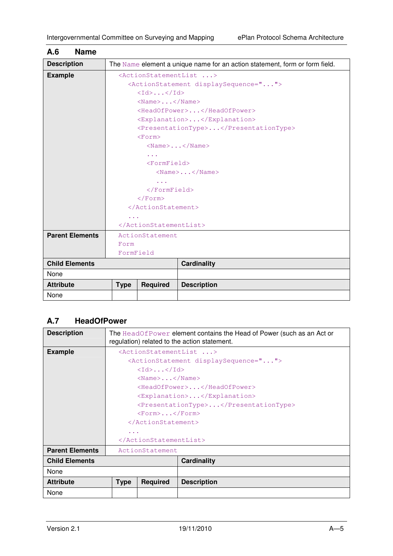| A.6<br><b>Name</b>                                 |                                                                             |                         |                                                    |  |
|----------------------------------------------------|-----------------------------------------------------------------------------|-------------------------|----------------------------------------------------|--|
| <b>Description</b>                                 | The Name element a unique name for an action statement, form or form field. |                         |                                                    |  |
| <b>Example</b>                                     | <actionstatementlist></actionstatementlist>                                 |                         |                                                    |  |
|                                                    | <actionstatement displaysequence=""></actionstatement>                      |                         |                                                    |  |
|                                                    | <Id>< <id></id>                                                             |                         |                                                    |  |
|                                                    | $\langle$ Name $\rangle$ $\langle$ /Name $\rangle$                          |                         |                                                    |  |
|                                                    |                                                                             |                         | <headofpower></headofpower>                        |  |
|                                                    |                                                                             |                         | <explanation></explanation>                        |  |
|                                                    |                                                                             |                         | <presentationtype></presentationtype>              |  |
|                                                    |                                                                             | $<$ Form $>$            |                                                    |  |
|                                                    |                                                                             |                         | $\langle$ Name $\rangle$ $\langle$ /Name $\rangle$ |  |
|                                                    |                                                                             | $\sim 100$ km s $^{-1}$ |                                                    |  |
|                                                    | $<$ FormField>                                                              |                         |                                                    |  |
|                                                    | $\langle$ Name $\rangle$ $\langle$ /Name $\rangle$                          |                         |                                                    |  |
|                                                    | $\sim 100$                                                                  |                         |                                                    |  |
|                                                    | $\langle$ /FormField>                                                       |                         |                                                    |  |
|                                                    | $\langle$ /Form>                                                            |                         |                                                    |  |
|                                                    |                                                                             |                         |                                                    |  |
|                                                    | $\sim 100$                                                                  |                         |                                                    |  |
|                                                    |                                                                             |                         |                                                    |  |
| <b>Parent Elements</b>                             |                                                                             | ActionStatement         |                                                    |  |
| Form                                               |                                                                             |                         |                                                    |  |
|                                                    | FormField                                                                   |                         |                                                    |  |
| <b>Child Elements</b>                              |                                                                             |                         | <b>Cardinality</b>                                 |  |
| None                                               |                                                                             |                         |                                                    |  |
| <b>Attribute</b><br><b>Required</b><br><b>Type</b> |                                                                             |                         | <b>Description</b>                                 |  |
| None                                               |                                                                             |                         |                                                    |  |

# **A.7 HeadOfPower**

| <b>Description</b>     | The HeadOfPower element contains the Head of Power (such as an Act or<br>regulation) related to the action statement. |                                                    |                             |  |
|------------------------|-----------------------------------------------------------------------------------------------------------------------|----------------------------------------------------|-----------------------------|--|
| <b>Example</b>         | <actionstatementlist></actionstatementlist>                                                                           |                                                    |                             |  |
|                        | <actionstatement displaysequence=""></actionstatement>                                                                |                                                    |                             |  |
|                        | $\langle \text{Id} \rangle$ $\langle \text{Id} \rangle$                                                               |                                                    |                             |  |
|                        |                                                                                                                       | $\langle$ Name $\rangle$ $\langle$ /Name $\rangle$ |                             |  |
|                        |                                                                                                                       |                                                    | <headofpower></headofpower> |  |
|                        |                                                                                                                       |                                                    | <explanation></explanation> |  |
|                        | <presentationtype></presentationtype>                                                                                 |                                                    |                             |  |
|                        | $<$ Form> $<$ /Form>                                                                                                  |                                                    |                             |  |
|                        |                                                                                                                       |                                                    |                             |  |
|                        | .                                                                                                                     |                                                    |                             |  |
|                        |                                                                                                                       |                                                    |                             |  |
| <b>Parent Elements</b> | ActionStatement                                                                                                       |                                                    |                             |  |
| <b>Child Elements</b>  |                                                                                                                       |                                                    | <b>Cardinality</b>          |  |
| None                   |                                                                                                                       |                                                    |                             |  |
| <b>Attribute</b>       | <b>Type</b>                                                                                                           | <b>Required</b>                                    | <b>Description</b>          |  |
| None                   |                                                                                                                       |                                                    |                             |  |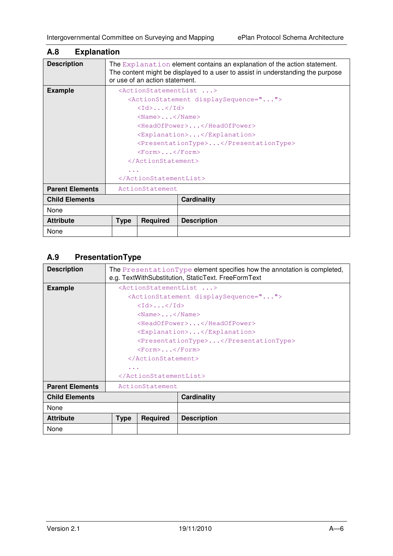| A.8                                                | <b>Explanation</b>                                                                                                                                                                            |                                                    |                                                        |  |  |
|----------------------------------------------------|-----------------------------------------------------------------------------------------------------------------------------------------------------------------------------------------------|----------------------------------------------------|--------------------------------------------------------|--|--|
| <b>Description</b>                                 | The Explanation element contains an explanation of the action statement.<br>The content might be displayed to a user to assist in understanding the purpose<br>or use of an action statement. |                                                    |                                                        |  |  |
| <b>Example</b>                                     |                                                                                                                                                                                               |                                                    | <actionstatementlist></actionstatementlist>            |  |  |
|                                                    |                                                                                                                                                                                               |                                                    | <actionstatement displaysequence=""></actionstatement> |  |  |
|                                                    |                                                                                                                                                                                               | $<$ Id> $<$ /Id>                                   |                                                        |  |  |
|                                                    |                                                                                                                                                                                               | $\langle$ Name $\rangle$ $\langle$ /Name $\rangle$ |                                                        |  |  |
|                                                    |                                                                                                                                                                                               |                                                    | <headofpower></headofpower>                            |  |  |
|                                                    | <explanation></explanation>                                                                                                                                                                   |                                                    |                                                        |  |  |
|                                                    |                                                                                                                                                                                               |                                                    | <presentationtype></presentationtype>                  |  |  |
|                                                    | $<$ Form> $<$ /Form>                                                                                                                                                                          |                                                    |                                                        |  |  |
|                                                    |                                                                                                                                                                                               |                                                    |                                                        |  |  |
|                                                    | .                                                                                                                                                                                             |                                                    |                                                        |  |  |
|                                                    |                                                                                                                                                                                               |                                                    |                                                        |  |  |
| <b>Parent Elements</b>                             | ActionStatement                                                                                                                                                                               |                                                    |                                                        |  |  |
| <b>Child Elements</b>                              |                                                                                                                                                                                               |                                                    | <b>Cardinality</b>                                     |  |  |
| None                                               |                                                                                                                                                                                               |                                                    |                                                        |  |  |
| <b>Attribute</b><br><b>Required</b><br><b>Type</b> |                                                                                                                                                                                               |                                                    | <b>Description</b>                                     |  |  |
| None                                               |                                                                                                                                                                                               |                                                    |                                                        |  |  |

## **A.9 PresentationType**

| <b>Description</b>     |                             |                                                         | The PresentationType element specifies how the annotation is completed,<br>e.g. TextWithSubstitution, StaticText. FreeFormText |
|------------------------|-----------------------------|---------------------------------------------------------|--------------------------------------------------------------------------------------------------------------------------------|
| <b>Example</b>         |                             |                                                         | <actionstatementlist></actionstatementlist>                                                                                    |
|                        |                             |                                                         | <actionstatement displaysequence=""></actionstatement>                                                                         |
|                        |                             | $\langle \text{Id} \rangle$ $\langle \text{Id} \rangle$ |                                                                                                                                |
|                        |                             | $\langle$ Name $\rangle$ $\langle$ /Name $\rangle$      |                                                                                                                                |
|                        |                             |                                                         | <headofpower></headofpower>                                                                                                    |
|                        | <explanation></explanation> |                                                         |                                                                                                                                |
|                        |                             |                                                         | <presentationtype></presentationtype>                                                                                          |
|                        |                             | $<$ Form> $<$ /Form>                                    |                                                                                                                                |
|                        |                             |                                                         |                                                                                                                                |
|                        | $\cdots$                    |                                                         |                                                                                                                                |
|                        |                             |                                                         |                                                                                                                                |
| <b>Parent Elements</b> |                             | ActionStatement                                         |                                                                                                                                |
| <b>Child Elements</b>  |                             |                                                         | Cardinality                                                                                                                    |
| None                   |                             |                                                         |                                                                                                                                |
| <b>Attribute</b>       | <b>Type</b>                 | <b>Required</b>                                         | <b>Description</b>                                                                                                             |
| None                   |                             |                                                         |                                                                                                                                |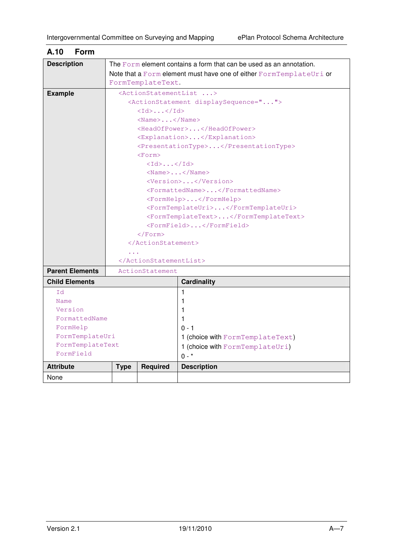| <b>Description</b>       |                                                              |                                                         | The $F\circ r$ m element contains a form that can be used as an annotation. |
|--------------------------|--------------------------------------------------------------|---------------------------------------------------------|-----------------------------------------------------------------------------|
|                          |                                                              |                                                         | Note that a Form element must have one of either FormTemplateUri or         |
|                          |                                                              | FormTemplateText.                                       |                                                                             |
| <b>Example</b>           |                                                              |                                                         | <actionstatementlist></actionstatementlist>                                 |
|                          |                                                              |                                                         | <actionstatement displaysequence=""></actionstatement>                      |
|                          |                                                              | $\langle Id \rangle \dots \langle Id \rangle$           |                                                                             |
|                          |                                                              | $<$ Name $>$ $<$ /Name $>$                              |                                                                             |
|                          |                                                              |                                                         | <headofpower></headofpower>                                                 |
|                          |                                                              |                                                         | <explanation></explanation>                                                 |
|                          |                                                              |                                                         | <presentationtype></presentationtype>                                       |
|                          |                                                              | $<$ Form $>$                                            |                                                                             |
|                          |                                                              | $\langle \text{Id} \rangle$ $\langle \text{Id} \rangle$ |                                                                             |
|                          |                                                              |                                                         | $<$ Name> $<$ /Name>                                                        |
|                          |                                                              |                                                         | <version></version>                                                         |
|                          | <formattedname></formattedname>                              |                                                         |                                                                             |
|                          | <formhelp></formhelp><br><formtemplateuri></formtemplateuri> |                                                         |                                                                             |
|                          |                                                              |                                                         |                                                                             |
|                          |                                                              |                                                         | <formtemplatetext></formtemplatetext>                                       |
|                          |                                                              | $\langle$ /Form>                                        | <formfield></formfield>                                                     |
|                          |                                                              |                                                         |                                                                             |
|                          |                                                              |                                                         |                                                                             |
|                          |                                                              |                                                         |                                                                             |
| <b>Parent Elements</b>   |                                                              | ActionStatement                                         |                                                                             |
|                          |                                                              |                                                         |                                                                             |
| <b>Child Elements</b>    |                                                              |                                                         | <b>Cardinality</b>                                                          |
| 1d                       |                                                              |                                                         | 1                                                                           |
| Name                     |                                                              |                                                         | 1                                                                           |
| Version<br>FormattedName |                                                              |                                                         | 1.                                                                          |
| FormHelp                 |                                                              |                                                         | 1<br>$0 - 1$                                                                |
| FormTemplateUri          |                                                              |                                                         |                                                                             |
| FormTemplateText         |                                                              |                                                         | 1 (choice with FormTemplateText)                                            |
| FormField                |                                                              |                                                         | 1 (choice with FormTemplateUri)                                             |
|                          |                                                              |                                                         | $0 - *$                                                                     |
| <b>Attribute</b>         | <b>Type</b>                                                  | <b>Required</b>                                         | <b>Description</b>                                                          |
| None                     |                                                              |                                                         |                                                                             |

## **A.10 Form**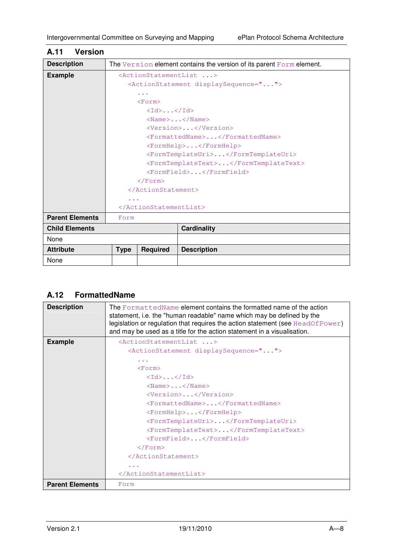|             |                                                | The Version element contains the version of its parent Form element.                                                                                       |
|-------------|------------------------------------------------|------------------------------------------------------------------------------------------------------------------------------------------------------------|
|             |                                                |                                                                                                                                                            |
|             |                                                | <actionstatement displaysequence=""></actionstatement>                                                                                                     |
|             | $\sim$ $\sim$ $\sim$                           |                                                                                                                                                            |
|             |                                                |                                                                                                                                                            |
|             | $\langle Id \rangle \ldots \langle Id \rangle$ |                                                                                                                                                            |
|             |                                                | $<$ Name> $<$ /Name>                                                                                                                                       |
|             |                                                | <version></version>                                                                                                                                        |
|             |                                                | <formattedname></formattedname>                                                                                                                            |
|             |                                                | $<$ FormHelp> $<$ /FormHelp>                                                                                                                               |
|             |                                                | <formtemplateuri></formtemplateuri>                                                                                                                        |
|             |                                                | <formtemplatetext></formtemplatetext>                                                                                                                      |
|             |                                                | $<$ FormField> $<$ /FormField>                                                                                                                             |
|             |                                                |                                                                                                                                                            |
|             |                                                |                                                                                                                                                            |
|             |                                                |                                                                                                                                                            |
|             |                                                |                                                                                                                                                            |
| Form        |                                                |                                                                                                                                                            |
|             |                                                | <b>Cardinality</b>                                                                                                                                         |
|             |                                                |                                                                                                                                                            |
| <b>Type</b> | <b>Required</b>                                | <b>Description</b>                                                                                                                                         |
|             |                                                |                                                                                                                                                            |
|             |                                                | <actionstatementlist><br/><math>&lt;</math>Form<math>&gt;</math><br/><math>\langle</math>/Form&gt;<br/><br/><math>\cdots</math><br/></actionstatementlist> |

## **A.11 Version**

# **A.12 FormattedName**

| <b>Description</b>     | The FormattedName element contains the formatted name of the action<br>statement, i.e. the "human readable" name which may be defined by the<br>legislation or regulation that requires the action statement (see $HeadOfPower)$<br>and may be used as a title for the action statement in a visualisation. |
|------------------------|-------------------------------------------------------------------------------------------------------------------------------------------------------------------------------------------------------------------------------------------------------------------------------------------------------------|
| <b>Example</b>         | <actionstatementlist></actionstatementlist>                                                                                                                                                                                                                                                                 |
|                        | <actionstatement displaysequence=""></actionstatement>                                                                                                                                                                                                                                                      |
|                        |                                                                                                                                                                                                                                                                                                             |
|                        | $<$ Form $>$                                                                                                                                                                                                                                                                                                |
|                        | $\langle \text{Id} \rangle$ $\langle \text{Id} \rangle$                                                                                                                                                                                                                                                     |
|                        | $\langle$ Name $\rangle$ $\langle$ /Name $\rangle$                                                                                                                                                                                                                                                          |
|                        | <version></version>                                                                                                                                                                                                                                                                                         |
|                        | <formattedname></formattedname>                                                                                                                                                                                                                                                                             |
|                        | <formhelp></formhelp>                                                                                                                                                                                                                                                                                       |
|                        | <formtemplateuri></formtemplateuri>                                                                                                                                                                                                                                                                         |
|                        | <formtemplatetext></formtemplatetext>                                                                                                                                                                                                                                                                       |
|                        | <formfield></formfield>                                                                                                                                                                                                                                                                                     |
|                        | $\langle$ Form>                                                                                                                                                                                                                                                                                             |
|                        |                                                                                                                                                                                                                                                                                                             |
|                        |                                                                                                                                                                                                                                                                                                             |
|                        |                                                                                                                                                                                                                                                                                                             |
| <b>Parent Elements</b> | Form                                                                                                                                                                                                                                                                                                        |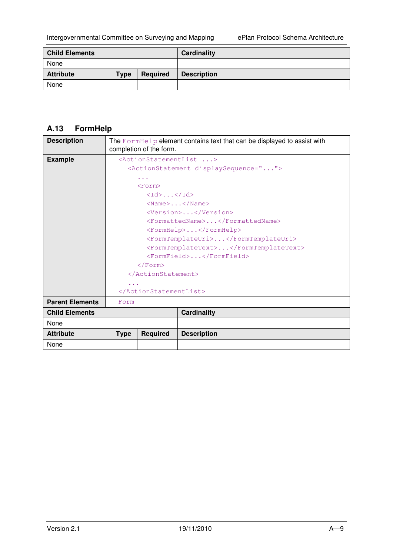| <b>Child Elements</b> |             |          | Cardinality        |
|-----------------------|-------------|----------|--------------------|
| None                  |             |          |                    |
| <b>Attribute</b>      | <b>Type</b> | Required | <b>Description</b> |
| None                  |             |          |                    |

# **A.13 FormHelp**

| <b>Description</b>     |             | completion of the form.                                                 | The $\text{FormHelp}$ element contains text that can be displayed to assist with                       |
|------------------------|-------------|-------------------------------------------------------------------------|--------------------------------------------------------------------------------------------------------|
| <b>Example</b>         |             |                                                                         | <actionstatementlist><br/><actionstatement displaysequence=""></actionstatement></actionstatementlist> |
|                        |             | .                                                                       |                                                                                                        |
|                        |             | $<$ Form $>$<br>$\langle \text{Id} \rangle$ $\langle \text{Id} \rangle$ |                                                                                                        |
|                        |             |                                                                         | $\langle$ Name $\rangle$ $\langle$ /Name $\rangle$                                                     |
|                        |             |                                                                         | <version></version>                                                                                    |
|                        |             |                                                                         | <formattedname></formattedname>                                                                        |
|                        |             |                                                                         | $<$ FormHelp> $<$ /FormHelp>                                                                           |
|                        |             |                                                                         | <formtemplateuri></formtemplateuri>                                                                    |
|                        |             |                                                                         | <formtemplatetext></formtemplatetext>                                                                  |
|                        |             |                                                                         | <formfield></formfield>                                                                                |
|                        |             | $\langle$ /Form>                                                        |                                                                                                        |
|                        |             |                                                                         |                                                                                                        |
|                        | $\cdots$    |                                                                         |                                                                                                        |
|                        |             |                                                                         |                                                                                                        |
| <b>Parent Elements</b> | Form        |                                                                         |                                                                                                        |
| <b>Child Elements</b>  |             |                                                                         | <b>Cardinality</b>                                                                                     |
| None                   |             |                                                                         |                                                                                                        |
| <b>Attribute</b>       | <b>Type</b> | <b>Required</b>                                                         | <b>Description</b>                                                                                     |
| None                   |             |                                                                         |                                                                                                        |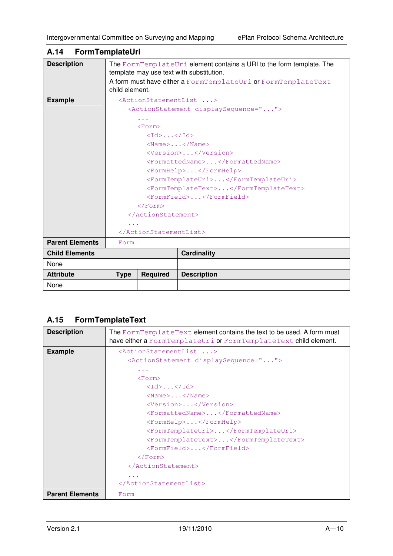| <b>Description</b>     |                      |                                                         | The FormTemplateUri element contains a URI to the form template. The<br>template may use text with substitution. |
|------------------------|----------------------|---------------------------------------------------------|------------------------------------------------------------------------------------------------------------------|
|                        | child element.       |                                                         | A form must have either a FormTemplateUri or FormTemplateText                                                    |
| <b>Example</b>         |                      |                                                         | <actionstatementlist></actionstatementlist>                                                                      |
|                        |                      |                                                         | <actionstatement displaysequence=""></actionstatement>                                                           |
|                        |                      | .                                                       |                                                                                                                  |
|                        |                      | $<$ Form $>$                                            |                                                                                                                  |
|                        |                      | $\langle \text{Id} \rangle$ $\langle \text{Id} \rangle$ |                                                                                                                  |
|                        |                      |                                                         | $\langle$ Name $\rangle$ $\langle$ /Name $\rangle$                                                               |
|                        |                      |                                                         | <version></version>                                                                                              |
|                        |                      |                                                         | <formattedname></formattedname>                                                                                  |
|                        |                      |                                                         | <formhelp></formhelp>                                                                                            |
|                        |                      |                                                         | <formtemplateuri></formtemplateuri>                                                                              |
|                        |                      |                                                         | <formtemplatetext></formtemplatetext>                                                                            |
|                        |                      |                                                         | <formfield></formfield>                                                                                          |
|                        |                      | $\langle$ /Form>                                        |                                                                                                                  |
|                        |                      |                                                         |                                                                                                                  |
|                        | $\sim$ $\sim$ $\sim$ |                                                         |                                                                                                                  |
|                        |                      |                                                         |                                                                                                                  |
| <b>Parent Elements</b> | Form                 |                                                         |                                                                                                                  |
| <b>Child Elements</b>  |                      |                                                         | <b>Cardinality</b>                                                                                               |
| None                   |                      |                                                         |                                                                                                                  |
| <b>Attribute</b>       | <b>Type</b>          | <b>Required</b>                                         | <b>Description</b>                                                                                               |
| None                   |                      |                                                         |                                                                                                                  |

## **A.14 FormTemplateUri**

## **A.15 FormTemplateText**

| <b>Description</b>     | The FormTemplateText element contains the text to be used. A form must<br>have either a FormTemplateUri or FormTemplateText child element. |
|------------------------|--------------------------------------------------------------------------------------------------------------------------------------------|
| <b>Example</b>         | <actionstatementlist></actionstatementlist>                                                                                                |
|                        | <actionstatement displaysequence=""></actionstatement>                                                                                     |
|                        | $\cdots$                                                                                                                                   |
|                        | $<$ Form $>$                                                                                                                               |
|                        | $\langle \text{Id} \rangle$ $\langle \text{Id} \rangle$                                                                                    |
|                        | $<$ Name> $<$ /Name>                                                                                                                       |
|                        | <version></version>                                                                                                                        |
|                        | <formattedname></formattedname>                                                                                                            |
|                        | $<$ FormHelp> $<$ /FormHelp>                                                                                                               |
|                        | <formtemplateuri></formtemplateuri>                                                                                                        |
|                        | <formtemplatetext></formtemplatetext>                                                                                                      |
|                        | $<$ FormField> $<$ /FormField>                                                                                                             |
|                        | $\langle$ Form>                                                                                                                            |
|                        |                                                                                                                                            |
|                        |                                                                                                                                            |
|                        |                                                                                                                                            |
| <b>Parent Elements</b> | Form                                                                                                                                       |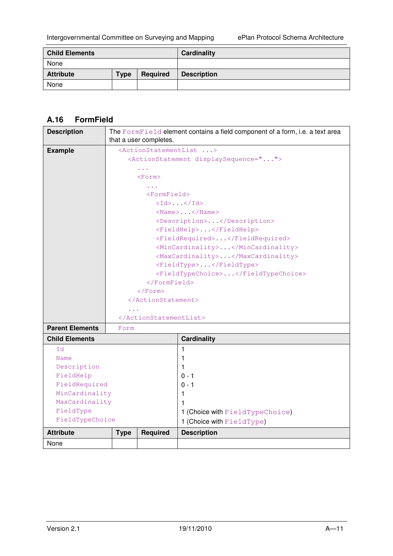| <b>Child Elements</b> |             |          | Cardinality        |
|-----------------------|-------------|----------|--------------------|
| None                  |             |          |                    |
| <b>Attribute</b>      | <b>Type</b> | Required | <b>Description</b> |
| None                  |             |          |                    |

# **A.16 FormField**

| <b>Description</b>     |                      |                        | The Form Field element contains a field component of a form, i.e. a text area |
|------------------------|----------------------|------------------------|-------------------------------------------------------------------------------|
|                        |                      | that a user completes. |                                                                               |
| <b>Example</b>         |                      |                        | <actionstatementlist></actionstatementlist>                                   |
|                        |                      |                        | <actionstatement displaysequence=""></actionstatement>                        |
|                        |                      | $\sim$ $\sim$          |                                                                               |
|                        |                      | $<$ Form $>$           |                                                                               |
|                        |                      | $\cdots$               |                                                                               |
|                        |                      | $<$ Form $F$ ield>     |                                                                               |
|                        |                      |                        | $\langle Id \rangle \dots \langle Id \rangle$                                 |
|                        |                      |                        | $<$ Name> $<$ /Name>                                                          |
|                        |                      |                        | <description></description>                                                   |
|                        |                      |                        | <fieldhelp></fieldhelp>                                                       |
|                        |                      |                        | <fieldrequired></fieldrequired>                                               |
|                        |                      |                        | <mincardinality></mincardinality>                                             |
|                        |                      |                        | <maxcardinality></maxcardinality>                                             |
|                        |                      |                        | <fieldtype></fieldtype>                                                       |
|                        |                      |                        | <fieldtypechoice></fieldtypechoice>                                           |
|                        |                      | $\langle$ /FormField>  |                                                                               |
|                        |                      |                        |                                                                               |
|                        |                      |                        |                                                                               |
|                        | $\sim$ $\sim$ $\sim$ |                        |                                                                               |
|                        |                      |                        |                                                                               |
| <b>Parent Elements</b> | Form                 |                        |                                                                               |
| <b>Child Elements</b>  |                      |                        | <b>Cardinality</b>                                                            |
| Id                     |                      |                        | $\mathbf 1$                                                                   |
| Name                   |                      |                        | 1                                                                             |
| Description            |                      |                        | 1                                                                             |
| FieldHelp              |                      |                        | $0 - 1$                                                                       |
| FieldRequired          |                      |                        | $0 - 1$                                                                       |
| MinCardinality         |                      |                        | 1                                                                             |
| MaxCardinality         |                      |                        | 1                                                                             |
| FieldType              |                      |                        | 1 (Choice with FieldTypeChoice)                                               |
| FieldTypeChoice        |                      |                        | 1 (Choice with FieldType)                                                     |
| <b>Attribute</b>       | <b>Type</b>          | <b>Required</b>        | <b>Description</b>                                                            |
| None                   |                      |                        |                                                                               |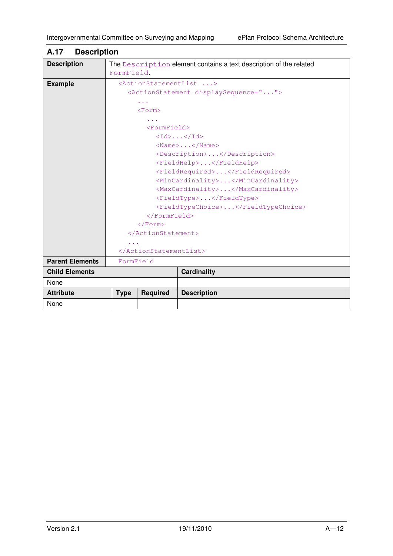| <b>POULLAND</b>        |             |                       |                                                                    |
|------------------------|-------------|-----------------------|--------------------------------------------------------------------|
| <b>Description</b>     | FormField.  |                       | The Description element contains a text description of the related |
| <b>Example</b>         |             |                       | <actionstatementlist></actionstatementlist>                        |
|                        |             |                       | <actionstatement displaysequence=""></actionstatement>             |
|                        |             | $\cdots$              |                                                                    |
|                        |             | <form></form>         |                                                                    |
|                        |             |                       |                                                                    |
|                        |             | $<$ FormField>        |                                                                    |
|                        |             |                       | $\langle \text{Id} \rangle \dots \langle \text{Id} \rangle$        |
|                        |             |                       | $\langle$ Name $\rangle$ $\langle$ /Name $\rangle$                 |
|                        |             |                       | <description></description>                                        |
|                        |             |                       | <fieldhelp></fieldhelp>                                            |
|                        |             |                       | <fieldrequired></fieldrequired>                                    |
|                        |             |                       | <mincardinality></mincardinality>                                  |
|                        |             |                       | <maxcardinality></maxcardinality>                                  |
|                        |             |                       | <fieldtype></fieldtype>                                            |
|                        |             |                       | <fieldtypechoice></fieldtypechoice>                                |
|                        |             | $\langle$ /FormField> |                                                                    |
|                        |             | $\langle$ /Form>      |                                                                    |
|                        |             |                       |                                                                    |
|                        |             |                       |                                                                    |
|                        |             |                       |                                                                    |
| <b>Parent Elements</b> | FormField   |                       |                                                                    |
| <b>Child Elements</b>  |             |                       | <b>Cardinality</b>                                                 |
| None                   |             |                       |                                                                    |
| <b>Attribute</b>       | <b>Type</b> | <b>Required</b>       | <b>Description</b>                                                 |
| None                   |             |                       |                                                                    |

#### **A.17 Description**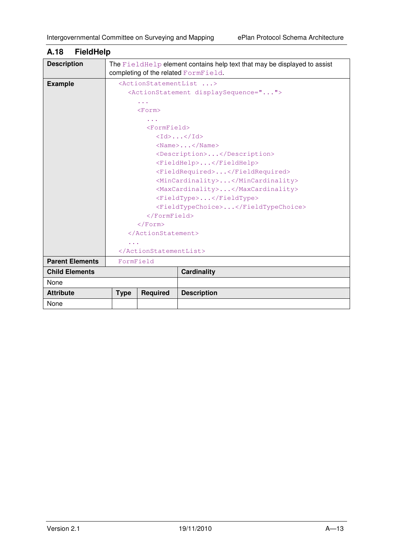| <b>Description</b><br>The Field Help element contains help text that may be displayed to assist<br>completing of the related FormField.<br><actionstatementlist><br/><b>Example</b><br/><actionstatement displaysequence=""><br/><math>\cdots</math><br/><math>&lt;</math>Form<math>&gt;</math></actionstatement></actionstatementlist> |
|-----------------------------------------------------------------------------------------------------------------------------------------------------------------------------------------------------------------------------------------------------------------------------------------------------------------------------------------|
|                                                                                                                                                                                                                                                                                                                                         |
|                                                                                                                                                                                                                                                                                                                                         |
|                                                                                                                                                                                                                                                                                                                                         |
|                                                                                                                                                                                                                                                                                                                                         |
|                                                                                                                                                                                                                                                                                                                                         |
|                                                                                                                                                                                                                                                                                                                                         |
|                                                                                                                                                                                                                                                                                                                                         |
| $<$ FormField>                                                                                                                                                                                                                                                                                                                          |
| $\langle \text{Id} \rangle$ $\langle \text{Id} \rangle$                                                                                                                                                                                                                                                                                 |
| $\langle$ Name $\rangle$ $\langle$ /Name $\rangle$                                                                                                                                                                                                                                                                                      |
| <description></description>                                                                                                                                                                                                                                                                                                             |
| <fieldhelp></fieldhelp>                                                                                                                                                                                                                                                                                                                 |
| <fieldrequired></fieldrequired>                                                                                                                                                                                                                                                                                                         |
| <mincardinality></mincardinality>                                                                                                                                                                                                                                                                                                       |
| <maxcardinality></maxcardinality>                                                                                                                                                                                                                                                                                                       |
| <fieldtype></fieldtype>                                                                                                                                                                                                                                                                                                                 |
| <fieldtypechoice></fieldtypechoice>                                                                                                                                                                                                                                                                                                     |
| $\langle$ /FormField>                                                                                                                                                                                                                                                                                                                   |
| $\langle$ /Form>                                                                                                                                                                                                                                                                                                                        |
|                                                                                                                                                                                                                                                                                                                                         |
|                                                                                                                                                                                                                                                                                                                                         |
|                                                                                                                                                                                                                                                                                                                                         |
| <b>Parent Elements</b><br>FormField                                                                                                                                                                                                                                                                                                     |
| <b>Child Elements</b><br><b>Cardinality</b>                                                                                                                                                                                                                                                                                             |
| None                                                                                                                                                                                                                                                                                                                                    |
| <b>Attribute</b><br><b>Required</b><br><b>Description</b><br><b>Type</b>                                                                                                                                                                                                                                                                |
| None                                                                                                                                                                                                                                                                                                                                    |

# **A.18 FieldHelp**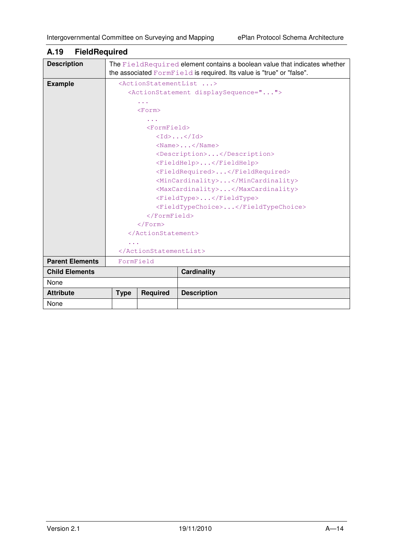| <b>Description</b>     |                                           |                 | The FieldRequired element contains a boolean value that indicates whether<br>the associated FormField is required. Its value is "true" or "false". |  |
|------------------------|-------------------------------------------|-----------------|----------------------------------------------------------------------------------------------------------------------------------------------------|--|
| <b>Example</b>         |                                           |                 | <actionstatementlist></actionstatementlist>                                                                                                        |  |
|                        |                                           |                 | <actionstatement displaysequence=""></actionstatement>                                                                                             |  |
|                        |                                           |                 |                                                                                                                                                    |  |
|                        | $<$ Form $>$                              |                 |                                                                                                                                                    |  |
|                        |                                           |                 |                                                                                                                                                    |  |
|                        |                                           | $<$ FormField>  |                                                                                                                                                    |  |
|                        |                                           |                 | <Id>< <id></id>                                                                                                                                    |  |
|                        |                                           |                 | $<$ Name> $<$ /Name>                                                                                                                               |  |
|                        |                                           |                 | <description></description>                                                                                                                        |  |
|                        |                                           |                 | <fieldhelp></fieldhelp>                                                                                                                            |  |
|                        |                                           |                 | <fieldrequired></fieldrequired>                                                                                                                    |  |
|                        | <mincardinality></mincardinality>         |                 |                                                                                                                                                    |  |
|                        | <maxcardinality></maxcardinality>         |                 |                                                                                                                                                    |  |
|                        | <fieldtype></fieldtype>                   |                 |                                                                                                                                                    |  |
|                        |                                           |                 | <fieldtypechoice></fieldtypechoice>                                                                                                                |  |
|                        | $\langle$ /FormField><br>$\langle$ /Form> |                 |                                                                                                                                                    |  |
|                        |                                           |                 |                                                                                                                                                    |  |
|                        |                                           |                 |                                                                                                                                                    |  |
|                        |                                           |                 |                                                                                                                                                    |  |
|                        |                                           |                 |                                                                                                                                                    |  |
| <b>Parent Elements</b> | FormField                                 |                 |                                                                                                                                                    |  |
| <b>Child Elements</b>  |                                           |                 | <b>Cardinality</b>                                                                                                                                 |  |
| None                   |                                           |                 |                                                                                                                                                    |  |
| <b>Attribute</b>       | <b>Type</b>                               | <b>Required</b> | <b>Description</b>                                                                                                                                 |  |
| None                   |                                           |                 |                                                                                                                                                    |  |

# **A.19 FieldRequired**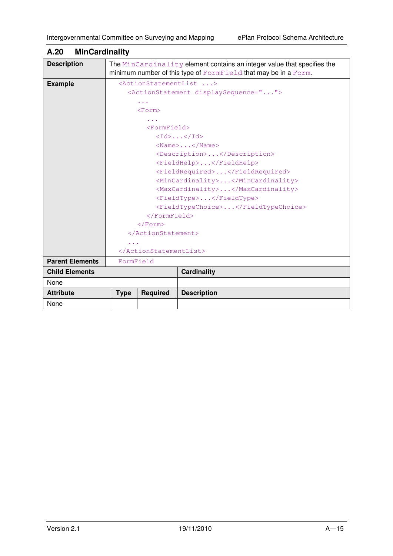| <b>Description</b>     |                                                                                  |                 | The MinCardinality element contains an integer value that specifies the<br>minimum number of this type of FormField that may be in a Form. |  |
|------------------------|----------------------------------------------------------------------------------|-----------------|--------------------------------------------------------------------------------------------------------------------------------------------|--|
| <b>Example</b>         |                                                                                  |                 | <actionstatementlist></actionstatementlist>                                                                                                |  |
|                        |                                                                                  |                 | <actionstatement displaysequence=""></actionstatement>                                                                                     |  |
|                        |                                                                                  | .               |                                                                                                                                            |  |
|                        |                                                                                  | $<$ Form $>$    |                                                                                                                                            |  |
|                        |                                                                                  |                 |                                                                                                                                            |  |
|                        |                                                                                  | $<$ FormField>  |                                                                                                                                            |  |
|                        |                                                                                  |                 | $\langle \text{Id} \rangle$ $\langle \text{Id} \rangle$                                                                                    |  |
|                        |                                                                                  |                 | $\langle$ Name $\rangle$ $\langle$ /Name $\rangle$                                                                                         |  |
|                        |                                                                                  |                 | <description></description>                                                                                                                |  |
|                        |                                                                                  |                 | <fieldhelp></fieldhelp>                                                                                                                    |  |
|                        | <fieldrequired></fieldrequired>                                                  |                 |                                                                                                                                            |  |
|                        | <mincardinality></mincardinality>                                                |                 |                                                                                                                                            |  |
|                        | <maxcardinality></maxcardinality>                                                |                 |                                                                                                                                            |  |
|                        | <fieldtype></fieldtype>                                                          |                 |                                                                                                                                            |  |
|                        | <fieldtypechoice></fieldtypechoice><br>$\langle$ /FormField><br>$\langle$ /Form> |                 |                                                                                                                                            |  |
|                        |                                                                                  |                 |                                                                                                                                            |  |
|                        |                                                                                  |                 |                                                                                                                                            |  |
|                        |                                                                                  |                 |                                                                                                                                            |  |
|                        |                                                                                  |                 |                                                                                                                                            |  |
|                        |                                                                                  |                 |                                                                                                                                            |  |
| <b>Parent Elements</b> | FormField                                                                        |                 |                                                                                                                                            |  |
| <b>Child Elements</b>  |                                                                                  |                 | <b>Cardinality</b>                                                                                                                         |  |
| None                   |                                                                                  |                 |                                                                                                                                            |  |
| <b>Attribute</b>       | <b>Type</b>                                                                      | <b>Required</b> | <b>Description</b>                                                                                                                         |  |
| None                   |                                                                                  |                 |                                                                                                                                            |  |

### **A.20 MinCardinality**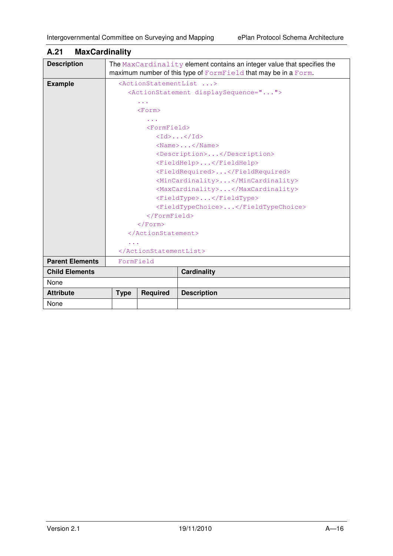| <b>Description</b>     |                                                                                  |                 | The MaxCardinality element contains an integer value that specifies the<br>maximum number of this type of FormField that may be in a Form. |  |
|------------------------|----------------------------------------------------------------------------------|-----------------|--------------------------------------------------------------------------------------------------------------------------------------------|--|
| <b>Example</b>         |                                                                                  |                 | <actionstatementlist></actionstatementlist>                                                                                                |  |
|                        |                                                                                  |                 | <actionstatement displaysequence=""></actionstatement>                                                                                     |  |
|                        |                                                                                  | .               |                                                                                                                                            |  |
|                        |                                                                                  | <form></form>   |                                                                                                                                            |  |
|                        |                                                                                  |                 |                                                                                                                                            |  |
|                        |                                                                                  | $<$ FormField>  |                                                                                                                                            |  |
|                        |                                                                                  |                 | $\langle \text{Id} \rangle$ $\langle \text{Id} \rangle$                                                                                    |  |
|                        |                                                                                  |                 | $\langle$ Name $\rangle$ $\langle$ /Name $\rangle$                                                                                         |  |
|                        |                                                                                  |                 | <description></description>                                                                                                                |  |
|                        |                                                                                  |                 | <fieldhelp></fieldhelp>                                                                                                                    |  |
|                        | <fieldrequired></fieldrequired>                                                  |                 |                                                                                                                                            |  |
|                        | <mincardinality></mincardinality>                                                |                 |                                                                                                                                            |  |
|                        | <maxcardinality></maxcardinality>                                                |                 |                                                                                                                                            |  |
|                        | <fieldtype></fieldtype>                                                          |                 |                                                                                                                                            |  |
|                        | <fieldtypechoice></fieldtypechoice><br>$\langle$ /FormField><br>$\langle$ /Form> |                 |                                                                                                                                            |  |
|                        |                                                                                  |                 |                                                                                                                                            |  |
|                        |                                                                                  |                 |                                                                                                                                            |  |
|                        |                                                                                  |                 |                                                                                                                                            |  |
|                        |                                                                                  |                 |                                                                                                                                            |  |
|                        |                                                                                  |                 |                                                                                                                                            |  |
| <b>Parent Elements</b> | FormField                                                                        |                 |                                                                                                                                            |  |
| <b>Child Elements</b>  |                                                                                  |                 | <b>Cardinality</b>                                                                                                                         |  |
| None                   |                                                                                  |                 |                                                                                                                                            |  |
| <b>Attribute</b>       | <b>Type</b>                                                                      | <b>Required</b> | <b>Description</b>                                                                                                                         |  |
| None                   |                                                                                  |                 |                                                                                                                                            |  |

## **A.21 MaxCardinality**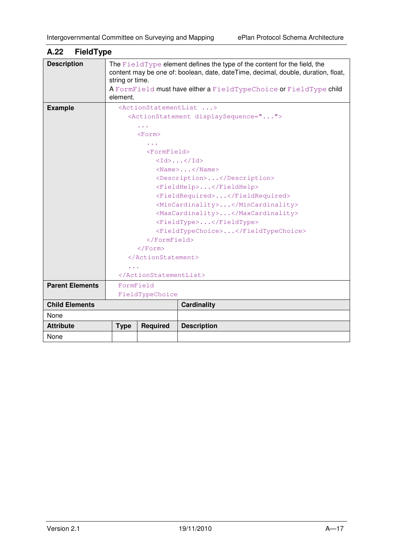| <b>Description</b>     | string or time.                                              |                         | The FieldType element defines the type of the content for the field, the<br>content may be one of: boolean, date, dateTime, decimal, double, duration, float, |  |
|------------------------|--------------------------------------------------------------|-------------------------|---------------------------------------------------------------------------------------------------------------------------------------------------------------|--|
|                        | element.                                                     |                         | A FormField must have either a FieldTypeChoice or FieldType child                                                                                             |  |
| <b>Example</b>         |                                                              |                         | <actionstatementlist></actionstatementlist>                                                                                                                   |  |
|                        | <actionstatement displaysequence=""></actionstatement>       |                         |                                                                                                                                                               |  |
|                        |                                                              |                         |                                                                                                                                                               |  |
|                        |                                                              | $<$ Form $>$            |                                                                                                                                                               |  |
|                        |                                                              |                         |                                                                                                                                                               |  |
|                        |                                                              | <formfield></formfield> |                                                                                                                                                               |  |
|                        |                                                              |                         | $\langle \text{Id} \rangle$ $\langle \text{Id} \rangle$                                                                                                       |  |
|                        |                                                              |                         | $<$ Name>                                                                                                                                                     |  |
|                        |                                                              |                         | <description></description>                                                                                                                                   |  |
|                        | <fieldhelp></fieldhelp><br><fieldrequired></fieldrequired>   |                         |                                                                                                                                                               |  |
|                        |                                                              |                         |                                                                                                                                                               |  |
|                        | <mincardinality></mincardinality>                            |                         |                                                                                                                                                               |  |
|                        |                                                              |                         | <maxcardinality></maxcardinality>                                                                                                                             |  |
|                        |                                                              |                         | <fieldtype></fieldtype>                                                                                                                                       |  |
|                        | <fieldtypechoice></fieldtypechoice><br>$\langle$ /FormField> |                         |                                                                                                                                                               |  |
|                        |                                                              |                         |                                                                                                                                                               |  |
|                        |                                                              | $\langle$ /Form>        |                                                                                                                                                               |  |
|                        |                                                              |                         |                                                                                                                                                               |  |
|                        |                                                              |                         |                                                                                                                                                               |  |
|                        |                                                              |                         |                                                                                                                                                               |  |
| <b>Parent Elements</b> | FormField                                                    |                         |                                                                                                                                                               |  |
|                        | FieldTypeChoice                                              |                         |                                                                                                                                                               |  |
| <b>Child Elements</b>  |                                                              |                         | Cardinality                                                                                                                                                   |  |
| None                   |                                                              |                         |                                                                                                                                                               |  |
| <b>Attribute</b>       | <b>Type</b>                                                  | <b>Required</b>         | <b>Description</b>                                                                                                                                            |  |
| None                   |                                                              |                         |                                                                                                                                                               |  |

# **A.22 FieldType**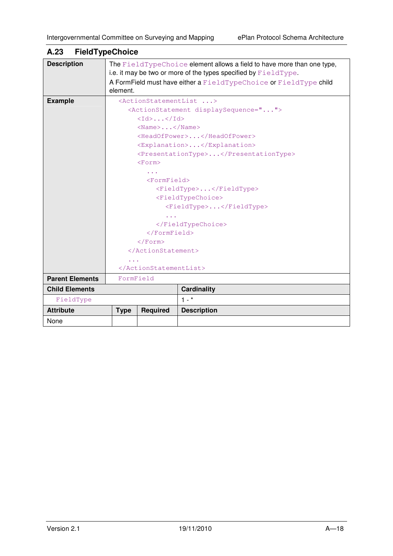| <b>Description</b>     |                                                         |                       | The FieldTypeChoice element allows a field to have more than one type,     |
|------------------------|---------------------------------------------------------|-----------------------|----------------------------------------------------------------------------|
|                        |                                                         |                       | i.e. it may be two or more of the types specified by $F \text{ieldType}$ . |
|                        |                                                         |                       | A FormField must have either a FieldTypeChoice or FieldType child          |
|                        | element.                                                |                       |                                                                            |
| <b>Example</b>         |                                                         |                       | <actionstatementlist></actionstatementlist>                                |
|                        |                                                         |                       | <actionstatement displaysequence=""></actionstatement>                     |
|                        | $\langle \text{Id} \rangle$ $\langle \text{Id} \rangle$ |                       |                                                                            |
|                        |                                                         | $<$ Name>             |                                                                            |
|                        |                                                         |                       | <headofpower></headofpower>                                                |
|                        |                                                         |                       | <explanation></explanation>                                                |
|                        |                                                         |                       | <presentationtype></presentationtype>                                      |
|                        |                                                         | <form></form>         |                                                                            |
|                        |                                                         |                       |                                                                            |
|                        | $<$ FormField>                                          |                       |                                                                            |
|                        | <fieldtype></fieldtype>                                 |                       |                                                                            |
|                        | <fieldtypechoice></fieldtypechoice>                     |                       |                                                                            |
|                        | <fieldtype></fieldtype>                                 |                       |                                                                            |
|                        | .                                                       |                       |                                                                            |
|                        |                                                         |                       |                                                                            |
|                        |                                                         | $\langle$ /FormField> |                                                                            |
|                        |                                                         | $\langle$ /Form>      |                                                                            |
|                        |                                                         |                       |                                                                            |
|                        |                                                         |                       |                                                                            |
|                        |                                                         |                       |                                                                            |
| <b>Parent Elements</b> | FormField                                               |                       |                                                                            |
| <b>Child Elements</b>  |                                                         |                       | <b>Cardinality</b>                                                         |
| FieldType              |                                                         |                       | $1 - *$                                                                    |
| <b>Attribute</b>       | <b>Type</b>                                             | <b>Required</b>       | <b>Description</b>                                                         |
| None                   |                                                         |                       |                                                                            |

# **A.23 FieldTypeChoice**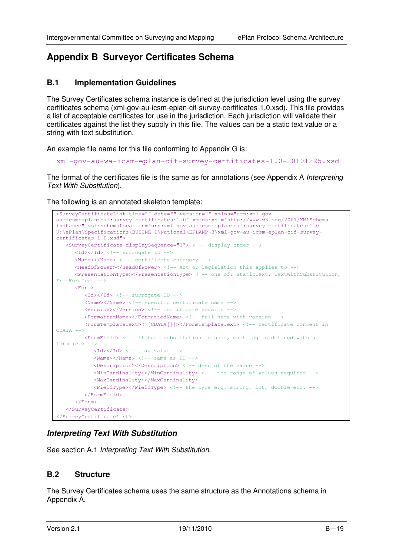# **Appendix B Surveyor Certificates Schema**

#### **B.1 Implementation Guidelines**

The Survey Certificates schema instance is defined at the jurisdiction level using the survey certificates schema (xml-gov-au-icsm-eplan-cif-survey-certificates-1.0.xsd). This file provides a list of acceptable certificates for use in the jurisdiction. Each jurisdiction will validate their certificates against the list they supply in this file. The values can be a static text value or a string with text substitution.

An example file name for this file conforming to Appendix G is:

xml-gov-au-wa-icsm-eplan-cif-survey-certificates-1.0-20101225.xsd

The format of the certificates file is the same as for annotations (see Appendix A *Interpreting* Text With Substitution).

The following is an annotated skeleton template:

```
<SurveyCertificateList time="" date="" version="" xmlns="urn:xml-gov-
au:icsm:eplan:cif:survey-certificates:1.0" xmlns:xsi="http://www.w3.org/2001/XMLSchema-
instance" xsi:schemaLocation="urn:xml-gov-au:icsm:eplan:cif:survey-certificates:1.0 
U:\ePlan\Specifications\BUSINE~1\National\EPLANP~3\xml-gov-au-icsm-eplan-cif-survey-
certificates-1.0.xsd"> 
    <SurveyCertificate displaySequence="1"> <!-- display order -->
      \langleId>\langle/Id> \langle!-- surrogate ID -->
       <Name></Name> <!-- certificate category -->
       <HeadOfPower></HeadOfPower> <!-- Act or legislation this applies to -->
       <PresentationType></PresentationType> <!-- one of: StaticText, TextWithSubstitution, 
FreeFormText --> 
      \timesForm\times<Id></Id> <!-- surrogate ID -->
           <Name></Name> <!-- specific certificate name -->
           <Version></Version> <!-- certificate version -->
           <FormattedName></FormattedName> <!-- full name with version -->
           <FormTemplateText><![CDATA[]]></FormTemplateText> <!-- certificate content in 
CDATA --> 
           <FormField> <!-- if text substitution is used, each tag is defined with a 
formfield --> 
             \langle \text{Id}\rangle\langle \text{Id}\rangle \langle \text{I}\rangle \langle \text{I}-\text{I}\rangle tag value \langle -\rangle\langleName>\langle/Name>\langle!-- same as ID -->
              <Description></Description> <!-- desc of the value --> 
              <MinCardinality></MinCardinality> <!-- the range of values required --> 
              <MaxCardinality></MaxCardinality> 
             \langle FieldType \rangle \langle FieldType \rangle \langle !-- the type e.g. string, int, double etc. -->
           </FormField> 
       </Form> 
    </SurveyCertificate> 
</SurveyCertificateList>
```
#### **Interpreting Text With Substitution**

See section A.1 Interpreting Text With Substitution.

#### **B.2 Structure**

The Survey Certificates schema uses the same structure as the Annotations schema in Appendix A.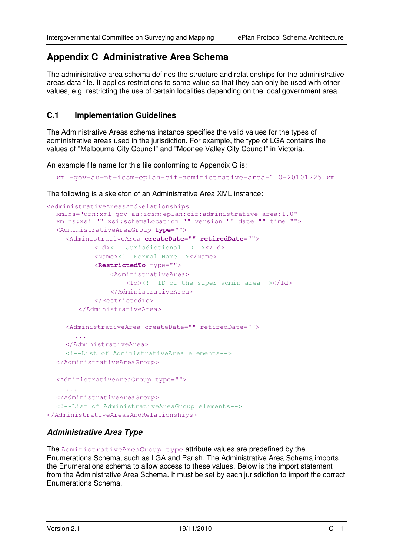# **Appendix C Administrative Area Schema**

The administrative area schema defines the structure and relationships for the administrative areas data file. It applies restrictions to some value so that they can only be used with other values, e.g. restricting the use of certain localities depending on the local government area.

#### **C.1 Implementation Guidelines**

The Administrative Areas schema instance specifies the valid values for the types of administrative areas used in the jurisdiction. For example, the type of LGA contains the values of "Melbourne City Council" and "Moonee Valley City Council" in Victoria.

An example file name for this file conforming to Appendix G is:

```
xml-gov-au-nt-icsm-eplan-cif-administrative-area-1.0-20101225.xml
```
The following is a skeleton of an Administrative Area XML instance:

```
<AdministrativeAreasAndRelationships 
   xmlns="urn:xml-gov-au:icsm:eplan:cif:administrative-area:1.0" 
   xmlns:xsi="" xsi:schemaLocation="" version="" date="" time=""> 
   <AdministrativeAreaGroup type=""> 
     <AdministrativeArea createDate="" retiredDate=""> 
             <Id><!--Jurisdictional ID--></Id> 
            <Name><!--Formal Name--></Name>
             <RestrictedTo type="">
                  <AdministrativeArea> 
                      <Id><!--ID of the super admin area--></Id> 
                  </AdministrativeArea> 
             </RestrictedTo> 
         </AdministrativeArea> 
     <AdministrativeArea createDate="" retiredDate="">
        ... 
     </AdministrativeArea> 
     <!--List of AdministrativeArea elements--> 
   </AdministrativeAreaGroup> 
   <AdministrativeAreaGroup type=""> 
      ... 
   </AdministrativeAreaGroup> 
  <!--List of AdministrativeAreaGroup elements--> 
</AdministrativeAreasAndRelationships>
```
### **Administrative Area Type**

The AdministrativeAreaGroup type attribute values are predefined by the Enumerations Schema, such as LGA and Parish. The Administrative Area Schema imports the Enumerations schema to allow access to these values. Below is the import statement from the Administrative Area Schema. It must be set by each jurisdiction to import the correct Enumerations Schema.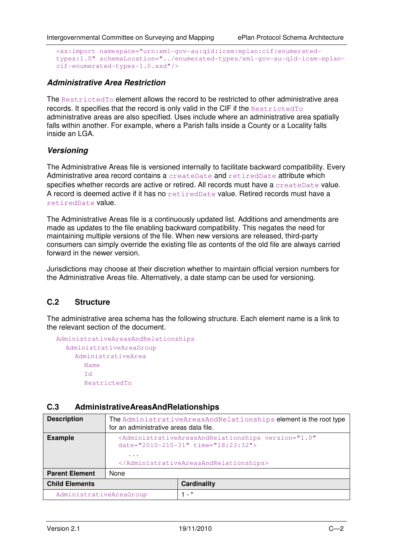```
<xs:import namespace="urn:xml-gov-au:qld:icsm:eplan:cif:enumerated-
types:1.0" schemaLocation="../enumerated-types/xml-gov-au-qld-icsm-eplan-
cif-enumerated-types-1.0.xsd"/>
```
#### **Administrative Area Restriction**

The RestrictedTo element allows the record to be restricted to other administrative area records. It specifies that the record is only valid in the CIF if the RestrictedTo administrative areas are also specified. Uses include where an administrative area spatially falls within another. For example, where a Parish falls inside a County or a Locality falls inside an LGA.

#### **Versioning**

The Administrative Areas file is versioned internally to facilitate backward compatibility. Every Administrative area record contains a createDate and retiredDate attribute which specifies whether records are active or retired. All records must have a createDate value. A record is deemed active if it has no retiredDate value. Retired records must have a retiredDate value.

The Administrative Areas file is a continuously updated list. Additions and amendments are made as updates to the file enabling backward compatibility. This negates the need for maintaining multiple versions of the file. When new versions are released, third-party consumers can simply override the existing file as contents of the old file are always carried forward in the newer version.

Jurisdictions may choose at their discretion whether to maintain official version numbers for the Administrative Areas file. Alternatively, a date stamp can be used for versioning.

### **C.2 Structure**

The administrative area schema has the following structure. Each element name is a link to the relevant section of the document.

```
AdministrativeAreasAndRelationships 
  AdministrativeAreaGroup 
    AdministrativeArea 
       Name 
       TARestrictedTo
```
#### **C.3 AdministrativeAreasAndRelationships**

| <b>Description</b>      | The AdministrativeAreasAndRelationships element is the root type<br>for an administrative areas data file.                                                          |                    |  |
|-------------------------|---------------------------------------------------------------------------------------------------------------------------------------------------------------------|--------------------|--|
| <b>Example</b>          | <administrativeareasandrelationships <br="" version="1.0">date="2010-210-31" time="18:23:32"&gt;<br/><math>\cdots</math><br/></administrativeareasandrelationships> |                    |  |
| <b>Parent Element</b>   | None                                                                                                                                                                |                    |  |
| <b>Child Elements</b>   |                                                                                                                                                                     | <b>Cardinality</b> |  |
| AdministrativeAreaGroup |                                                                                                                                                                     | $1 - *$            |  |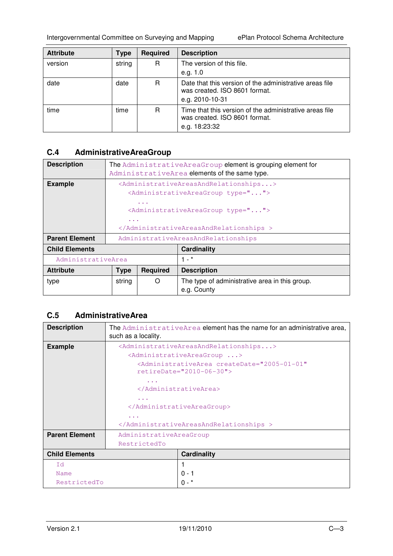Intergovernmental Committee on Surveying and Mapping ePlan Protocol Schema Architecture

| <b>Attribute</b> | Type   | <b>Required</b> | <b>Description</b>                                                                                          |
|------------------|--------|-----------------|-------------------------------------------------------------------------------------------------------------|
| version          | string | R               | The version of this file.                                                                                   |
|                  |        |                 | e.g. $1.0$                                                                                                  |
| date             | date   | R.              | Date that this version of the administrative areas file<br>was created. ISO 8601 format.<br>e.g. 2010-10-31 |
| time             | time   | R               | Time that this version of the administrative areas file<br>was created. ISO 8601 format.<br>e.g. 18:23:32   |

# **C.4 AdministrativeAreaGroup**

| <b>Description</b>    | The AdministrativeAreaGroup element is grouping element for<br>AdministrativeArea elements of the same type.                                                                                                                                                                                       |                 |                                                               |
|-----------------------|----------------------------------------------------------------------------------------------------------------------------------------------------------------------------------------------------------------------------------------------------------------------------------------------------|-----------------|---------------------------------------------------------------|
| <b>Example</b>        | <administrativeareasandrelationships><br/><administrativeareagroup type=""><br/><math>\cdots</math><br/><administrativeareagroup type=""><br/><math>\sim</math> <math>\sim</math> <math>\sim</math><br/></administrativeareagroup></administrativeareagroup></administrativeareasandrelationships> |                 |                                                               |
| <b>Parent Element</b> | AdministrativeAreasAndRelationships                                                                                                                                                                                                                                                                |                 |                                                               |
| <b>Child Elements</b> |                                                                                                                                                                                                                                                                                                    |                 | <b>Cardinality</b>                                            |
|                       | AdministrativeArea                                                                                                                                                                                                                                                                                 |                 | $1 - *$                                                       |
| <b>Attribute</b>      | <b>Type</b>                                                                                                                                                                                                                                                                                        | <b>Required</b> | <b>Description</b>                                            |
| type                  | string                                                                                                                                                                                                                                                                                             | O               | The type of administrative area in this group.<br>e.g. County |

## **C.5 AdministrativeArea**

| <b>Description</b>    | such as a locality.                                                         | The AdministrativeArea element has the name for an administrative area,                             |  |
|-----------------------|-----------------------------------------------------------------------------|-----------------------------------------------------------------------------------------------------|--|
| <b>Example</b>        | <administrativeareasandrelationships></administrativeareasandrelationships> |                                                                                                     |  |
|                       | <administrativeareagroup></administrativeareagroup>                         |                                                                                                     |  |
|                       |                                                                             | <administrativearea <br="" createdate="2005-01-01">retireDate="2010-06-30"&gt;</administrativearea> |  |
|                       |                                                                             |                                                                                                     |  |
|                       |                                                                             |                                                                                                     |  |
|                       | .<br><br>.<br>                                                              |                                                                                                     |  |
|                       |                                                                             |                                                                                                     |  |
|                       |                                                                             |                                                                                                     |  |
|                       |                                                                             |                                                                                                     |  |
| <b>Parent Element</b> | AdministrativeAreaGroup                                                     |                                                                                                     |  |
|                       | RestrictedTo                                                                |                                                                                                     |  |
| <b>Child Elements</b> |                                                                             | <b>Cardinality</b>                                                                                  |  |
| <b>Id</b>             |                                                                             |                                                                                                     |  |
| Name                  |                                                                             | $0 - 1$                                                                                             |  |
| RestrictedTo          |                                                                             |                                                                                                     |  |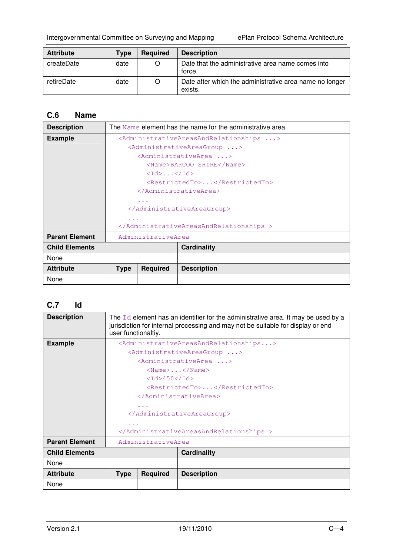Intergovernmental Committee on Surveying and Mapping ePlan Protocol Schema Architecture

| <b>Attribute</b> | <b>Type</b> | <b>Required</b> | <b>Description</b>                                                 |
|------------------|-------------|-----------------|--------------------------------------------------------------------|
| createDate       | date        | O               | Date that the administrative area name comes into<br>force.        |
| retireDate       | date        | O               | Date after which the administrative area name no longer<br>exists. |

## **C.6 Name**

| <b>Description</b>    |                                                                             |                                                         | The Name element has the name for the administrative area. |  |
|-----------------------|-----------------------------------------------------------------------------|---------------------------------------------------------|------------------------------------------------------------|--|
| <b>Example</b>        | <administrativeareasandrelationships></administrativeareasandrelationships> |                                                         |                                                            |  |
|                       | <administrativeareagroup></administrativeareagroup>                         |                                                         |                                                            |  |
|                       | <administrativearea></administrativearea>                                   |                                                         |                                                            |  |
|                       |                                                                             |                                                         | <name>BARCOO SHIRE</name>                                  |  |
|                       |                                                                             | $\langle \text{Id} \rangle$ $\langle \text{Id} \rangle$ |                                                            |  |
|                       |                                                                             |                                                         | <restrictedto></restrictedto>                              |  |
|                       |                                                                             |                                                         |                                                            |  |
|                       | $\alpha$ , $\alpha$ , $\alpha$                                              |                                                         |                                                            |  |
|                       |                                                                             |                                                         |                                                            |  |
|                       | $\sim$ $\sim$ $\sim$                                                        |                                                         |                                                            |  |
|                       |                                                                             |                                                         |                                                            |  |
| <b>Parent Element</b> | AdministrativeArea                                                          |                                                         |                                                            |  |
| <b>Child Elements</b> |                                                                             |                                                         | <b>Cardinality</b>                                         |  |
| None                  |                                                                             |                                                         |                                                            |  |
| <b>Attribute</b>      | <b>Type</b>                                                                 | <b>Required</b>                                         | <b>Description</b>                                         |  |
| None                  |                                                                             |                                                         |                                                            |  |

## **C.7 Id**

| <b>Description</b>    | The $Id$ element has an identifier for the administrative area. It may be used by a<br>jurisdiction for internal processing and may not be suitable for display or end<br>user functionaltiy. |                 |                                                     |  |
|-----------------------|-----------------------------------------------------------------------------------------------------------------------------------------------------------------------------------------------|-----------------|-----------------------------------------------------|--|
| <b>Example</b>        | <administrativeareasandrelationships></administrativeareasandrelationships>                                                                                                                   |                 |                                                     |  |
|                       |                                                                                                                                                                                               |                 | <administrativeareagroup></administrativeareagroup> |  |
|                       |                                                                                                                                                                                               |                 | <administrativearea></administrativearea>           |  |
|                       |                                                                                                                                                                                               |                 | $\langle$ Name $\rangle$ $\langle$ /Name $\rangle$  |  |
|                       |                                                                                                                                                                                               | $<$ Id>450      |                                                     |  |
|                       | <restrictedto></restrictedto>                                                                                                                                                                 |                 |                                                     |  |
|                       |                                                                                                                                                                                               |                 |                                                     |  |
|                       | $\cdots$                                                                                                                                                                                      |                 |                                                     |  |
|                       |                                                                                                                                                                                               |                 |                                                     |  |
|                       | $\cdots$                                                                                                                                                                                      |                 |                                                     |  |
|                       |                                                                                                                                                                                               |                 |                                                     |  |
| <b>Parent Element</b> | AdministrativeArea                                                                                                                                                                            |                 |                                                     |  |
| <b>Child Elements</b> |                                                                                                                                                                                               |                 | Cardinality                                         |  |
| None                  |                                                                                                                                                                                               |                 |                                                     |  |
| <b>Attribute</b>      | <b>Type</b>                                                                                                                                                                                   | <b>Required</b> | <b>Description</b>                                  |  |
| None                  |                                                                                                                                                                                               |                 |                                                     |  |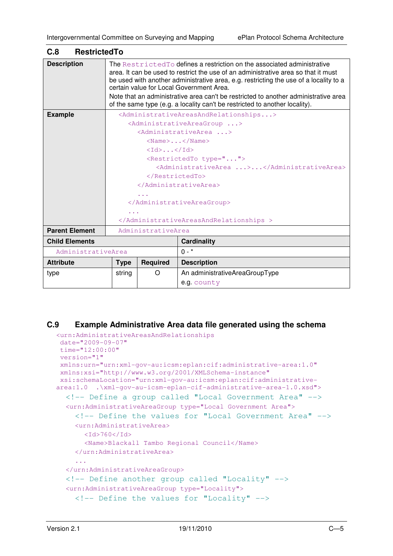| C.8<br><b>RestrictedTo</b> |                                                                                                                                                                                                                                                                                                                                                                                                                                                                           |                  |                                                                             |
|----------------------------|---------------------------------------------------------------------------------------------------------------------------------------------------------------------------------------------------------------------------------------------------------------------------------------------------------------------------------------------------------------------------------------------------------------------------------------------------------------------------|------------------|-----------------------------------------------------------------------------|
| <b>Description</b>         | The Restricted To defines a restriction on the associated administrative<br>area. It can be used to restrict the use of an administrative area so that it must<br>be used with another administrative area, e.g. restricting the use of a locality to a<br>certain value for Local Government Area.<br>Note that an administrative area can't be restricted to another administrative area<br>of the same type (e.g. a locality can't be restricted to another locality). |                  |                                                                             |
| <b>Example</b>             |                                                                                                                                                                                                                                                                                                                                                                                                                                                                           |                  | <administrativeareasandrelationships></administrativeareasandrelationships> |
|                            |                                                                                                                                                                                                                                                                                                                                                                                                                                                                           |                  | <administrativeareagroup></administrativeareagroup>                         |
|                            |                                                                                                                                                                                                                                                                                                                                                                                                                                                                           |                  | <administrativearea></administrativearea>                                   |
|                            |                                                                                                                                                                                                                                                                                                                                                                                                                                                                           |                  | $<$ Name>                                                                   |
|                            |                                                                                                                                                                                                                                                                                                                                                                                                                                                                           | $<$ Id> $<$ /Id> |                                                                             |
|                            | <restrictedto type=""></restrictedto>                                                                                                                                                                                                                                                                                                                                                                                                                                     |                  |                                                                             |
|                            | <administrativearea></administrativearea>                                                                                                                                                                                                                                                                                                                                                                                                                                 |                  |                                                                             |
|                            |                                                                                                                                                                                                                                                                                                                                                                                                                                                                           |                  |                                                                             |
|                            |                                                                                                                                                                                                                                                                                                                                                                                                                                                                           |                  |                                                                             |
|                            | $\sim$ $\sim$ $\sim$                                                                                                                                                                                                                                                                                                                                                                                                                                                      |                  |                                                                             |
|                            |                                                                                                                                                                                                                                                                                                                                                                                                                                                                           |                  |                                                                             |
|                            |                                                                                                                                                                                                                                                                                                                                                                                                                                                                           |                  |                                                                             |
|                            |                                                                                                                                                                                                                                                                                                                                                                                                                                                                           |                  |                                                                             |
| <b>Parent Element</b>      | AdministrativeArea                                                                                                                                                                                                                                                                                                                                                                                                                                                        |                  |                                                                             |
| <b>Child Elements</b>      |                                                                                                                                                                                                                                                                                                                                                                                                                                                                           |                  | Cardinality                                                                 |
| AdministrativeArea         |                                                                                                                                                                                                                                                                                                                                                                                                                                                                           |                  | $0 - *$                                                                     |
| <b>Attribute</b>           | <b>Type</b>                                                                                                                                                                                                                                                                                                                                                                                                                                                               | Required         | <b>Description</b>                                                          |
| type                       | string                                                                                                                                                                                                                                                                                                                                                                                                                                                                    | Ω                | An administrativeAreaGroupType                                              |
|                            |                                                                                                                                                                                                                                                                                                                                                                                                                                                                           |                  | e.g. county                                                                 |

#### **C.9 Example Administrative Area data file generated using the schema**

```
<urn:AdministrativeAreasAndRelationships 
 date="2009-09-07" 
 time="12:00:00" 
 version="1" 
 xmlns:urn="urn:xml-gov-au:icsm:eplan:cif:administrative-area:1.0" 
 xmlns:xsi="http://www.w3.org/2001/XMLSchema-instance" 
 xsi:schemaLocation="urn:xml-gov-au:icsm:eplan:cif:administrative-
area:1.0 .\xml-gov-au-icsm-eplan-cif-administrative-area-1.0.xsd"> 
  <!-- Define a group called "Local Government Area" --> 
  <urn:AdministrativeAreaGroup type="Local Government Area"> 
    <!-- Define the values for "Local Government Area" --> 
    <urn:AdministrativeArea> 
       <Id>760</Id>
       <Name>Blackall Tambo Regional Council</Name> 
    </urn:AdministrativeArea> 
     ... 
  </urn:AdministrativeAreaGroup> 
  <!-- Define another group called "Locality" --> 
  <urn:AdministrativeAreaGroup type="Locality"> 
    <!-- Define the values for "Locality" -->
```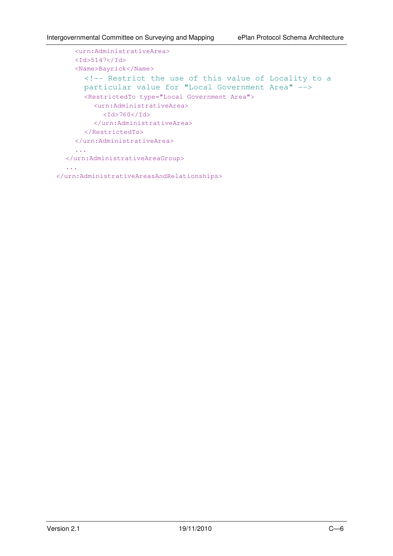```
<urn:AdministrativeArea> 
    <Id>5147</Id>
    <Name>Bayrick</Name> 
      <!-- Restrict the use of this value of Locality to a 
      particular value for "Local Government Area" --> 
      <RestrictedTo type="Local Government Area"> 
         <urn:AdministrativeArea> 
           <Id>760</Id>
         </urn:AdministrativeArea> 
      </RestrictedTo> 
    </urn:AdministrativeArea> 
    ... 
  </urn:AdministrativeAreaGroup> 
  ... 
</urn:AdministrativeAreasAndRelationships>
```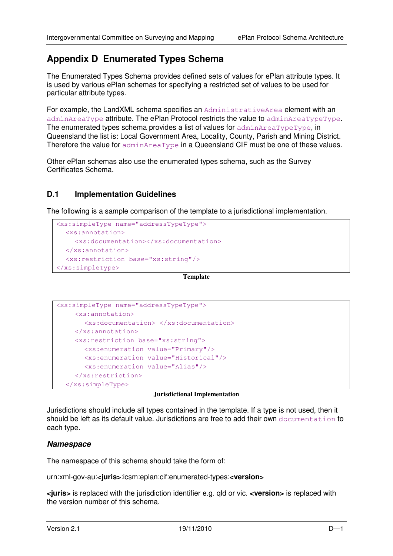# **Appendix D Enumerated Types Schema**

The Enumerated Types Schema provides defined sets of values for ePlan attribute types. It is used by various ePlan schemas for specifying a restricted set of values to be used for particular attribute types.

For example, the LandXML schema specifies an AdministrativeArea element with an adminAreaType attribute. The ePlan Protocol restricts the value to adminAreaTypeType. The enumerated types schema provides a list of values for  $\alpha$ dminAreaTypeType, in Queensland the list is: Local Government Area, Locality, County, Parish and Mining District. Therefore the value for adminAreaType in a Queensland CIF must be one of these values.

Other ePlan schemas also use the enumerated types schema, such as the Survey Certificates Schema.

#### **D.1 Implementation Guidelines**

The following is a sample comparison of the template to a jurisdictional implementation.

```
<xs:simpleType name="addressTypeType"> 
   <xs:annotation> 
      <xs:documentation></xs:documentation> 
   </xs:annotation> 
   <xs:restriction base="xs:string"/> 
</xs:simpleType>
```
**Template** 

```
<xs:simpleType name="addressTypeType"> 
     <xs:annotation> 
        <xs:documentation> </xs:documentation> 
      </xs:annotation> 
      <xs:restriction base="xs:string"> 
        <xs:enumeration value="Primary"/> 
        <xs:enumeration value="Historical"/> 
        <xs:enumeration value="Alias"/> 
      </xs:restriction> 
   </xs:simpleType>
```
#### **Jurisdictional Implementation**

Jurisdictions should include all types contained in the template. If a type is not used, then it should be left as its default value. Jurisdictions are free to add their own documentation to each type.

#### **Namespace**

The namespace of this schema should take the form of:

urn:xml-gov-au:**<juris>**:icsm:eplan:cif:enumerated-types:**<version>** 

**<juris>** is replaced with the jurisdiction identifier e.g. qld or vic. **<version>** is replaced with the version number of this schema.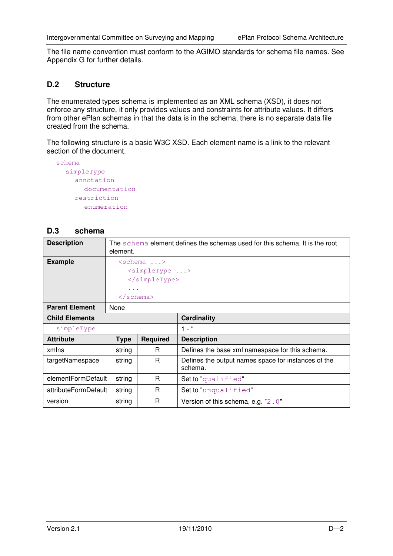The file name convention must conform to the AGIMO standards for schema file names. See Appendix G for further details.

### **D.2 Structure**

The enumerated types schema is implemented as an XML schema (XSD), it does not enforce any structure, it only provides values and constraints for attribute values. It differs from other ePlan schemas in that the data is in the schema, there is no separate data file created from the schema.

The following structure is a basic W3C XSD. Each element name is a link to the relevant section of the document.

```
schema 
  simpleType 
     annotation 
       documentation 
     restriction 
       enumeration
```
#### **D.3 schema**

| <b>Description</b>    | The schema element defines the schemas used for this schema. It is the root<br>element. |                           |                                                                |
|-----------------------|-----------------------------------------------------------------------------------------|---------------------------|----------------------------------------------------------------|
| <b>Example</b>        |                                                                                         | $\langle$ schema >        |                                                                |
|                       |                                                                                         | <simpletype></simpletype> |                                                                |
|                       |                                                                                         |                           |                                                                |
|                       | $\cdots$                                                                                |                           |                                                                |
|                       | $\langle$ /schema>                                                                      |                           |                                                                |
| <b>Parent Element</b> | None                                                                                    |                           |                                                                |
| <b>Child Elements</b> |                                                                                         |                           | <b>Cardinality</b>                                             |
| simpleType            |                                                                                         |                           | $1 - *$                                                        |
| <b>Attribute</b>      | <b>Type</b>                                                                             | <b>Required</b>           | <b>Description</b>                                             |
| xmlns                 | string                                                                                  | R.                        | Defines the base xml namespace for this schema.                |
| targetNamespace       | string                                                                                  | R.                        | Defines the output names space for instances of the<br>schema. |
| elementFormDefault    | string                                                                                  | R.                        | Set to "qualified"                                             |
| attributeFormDefault  | string                                                                                  | R                         | Set to "unqualified"                                           |
| version               | string                                                                                  | R                         | Version of this schema, e.g. "2.0"                             |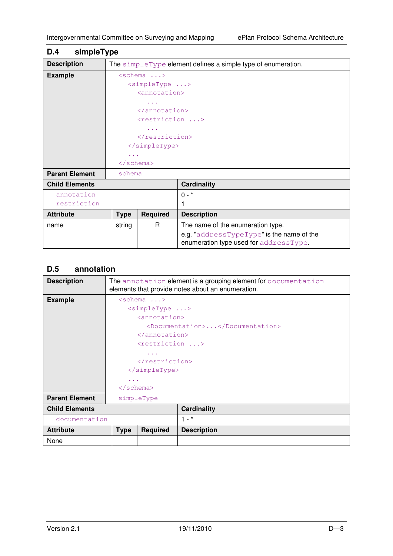| simpleType<br>D.4     |                                                                                                                                                 |                 |                                                                                     |
|-----------------------|-------------------------------------------------------------------------------------------------------------------------------------------------|-----------------|-------------------------------------------------------------------------------------|
| <b>Description</b>    |                                                                                                                                                 |                 | The simpleType element defines a simple type of enumeration.                        |
| <b>Example</b>        | $\langle$ schema ><br>$\langle$ simpleType ><br><annotation><br/></annotation><br>$restriction$ ><br><br>$\langle$ /simpleType><br>$\cdots$<br> |                 |                                                                                     |
| <b>Parent Element</b> | schema                                                                                                                                          |                 |                                                                                     |
| <b>Child Elements</b> |                                                                                                                                                 |                 | <b>Cardinality</b>                                                                  |
| annotation            |                                                                                                                                                 |                 | $0 - *$                                                                             |
| restriction           |                                                                                                                                                 |                 |                                                                                     |
| <b>Attribute</b>      | <b>Type</b>                                                                                                                                     | <b>Required</b> | <b>Description</b>                                                                  |
| name                  | string                                                                                                                                          | R               | The name of the enumeration type.                                                   |
|                       |                                                                                                                                                 |                 | e.g. "addressTypeType" is the name of the<br>enumeration type used for addressType. |

## **D.5 annotation**

| <b>Description</b>    | The annotation element is a grouping element for documentation<br>elements that provide notes about an enumeration. |                           |                                 |  |
|-----------------------|---------------------------------------------------------------------------------------------------------------------|---------------------------|---------------------------------|--|
| <b>Example</b>        | $\langle$ schema >                                                                                                  |                           |                                 |  |
|                       | $\langle$ simpleType >                                                                                              |                           |                                 |  |
|                       |                                                                                                                     | <annotation></annotation> |                                 |  |
|                       |                                                                                                                     |                           | <documentation></documentation> |  |
|                       |                                                                                                                     | $\langle$ annotation>     |                                 |  |
|                       |                                                                                                                     | $restriction$ >           |                                 |  |
|                       | $\cdots$                                                                                                            |                           |                                 |  |
|                       |                                                                                                                     |                           |                                 |  |
|                       |                                                                                                                     |                           |                                 |  |
|                       | $\cdots$                                                                                                            |                           |                                 |  |
|                       | $\langle$ /schema>                                                                                                  |                           |                                 |  |
| <b>Parent Element</b> | simpleType                                                                                                          |                           |                                 |  |
| <b>Child Elements</b> |                                                                                                                     |                           | <b>Cardinality</b>              |  |
| documentation         |                                                                                                                     |                           | $1 - *$                         |  |
| <b>Attribute</b>      | <b>Type</b>                                                                                                         | <b>Required</b>           | <b>Description</b>              |  |
| None                  |                                                                                                                     |                           |                                 |  |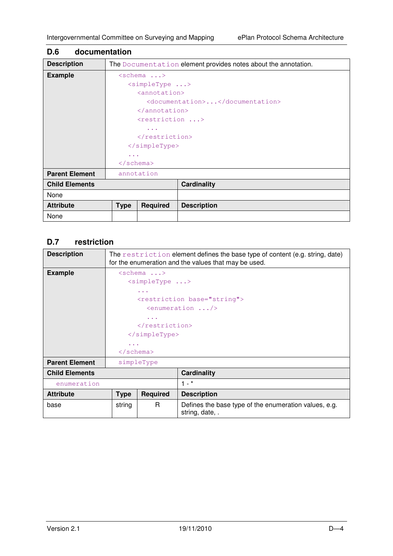|                        |                 | The Documentation element provides notes about the annotation. |
|------------------------|-----------------|----------------------------------------------------------------|
| $\langle$ schema >     |                 |                                                                |
| $\langle$ simpleType > |                 |                                                                |
|                        |                 |                                                                |
|                        |                 | <documentation></documentation>                                |
|                        |                 |                                                                |
|                        |                 |                                                                |
| $\cdots$               |                 |                                                                |
|                        |                 |                                                                |
|                        |                 |                                                                |
| .                      |                 |                                                                |
| $\langle$ /schema>     |                 |                                                                |
| annotation             |                 |                                                                |
|                        |                 | <b>Cardinality</b>                                             |
|                        |                 |                                                                |
| <b>Type</b>            | <b>Required</b> | <b>Description</b>                                             |
|                        |                 |                                                                |
|                        |                 | <annotation><br/></annotation><br><restriction></restriction>  |

## **D.6 documentation**

## **D.7 restriction**

| <b>Description</b>    | The restriction element defines the base type of content (e.g. string, date)<br>for the enumeration and the values that may be used. |                 |                                                                          |
|-----------------------|--------------------------------------------------------------------------------------------------------------------------------------|-----------------|--------------------------------------------------------------------------|
| <b>Example</b>        | $\langle$ schema >                                                                                                                   |                 |                                                                          |
|                       | <simpletype></simpletype>                                                                                                            |                 |                                                                          |
|                       |                                                                                                                                      | $\cdots$        |                                                                          |
|                       |                                                                                                                                      |                 | <restriction base="string"></restriction>                                |
|                       |                                                                                                                                      |                 | $\epsilon$ <enumeration></enumeration>                                   |
|                       |                                                                                                                                      | $\cdots$        |                                                                          |
|                       |                                                                                                                                      |                 |                                                                          |
|                       | $\langle$ /simpleType>                                                                                                               |                 |                                                                          |
|                       | .                                                                                                                                    |                 |                                                                          |
|                       | $\langle$ /schema>                                                                                                                   |                 |                                                                          |
| <b>Parent Element</b> | simpleType                                                                                                                           |                 |                                                                          |
| <b>Child Elements</b> |                                                                                                                                      |                 | <b>Cardinality</b>                                                       |
| enumeration           |                                                                                                                                      |                 | $1 - *$                                                                  |
| <b>Attribute</b>      | <b>Type</b>                                                                                                                          | <b>Required</b> | <b>Description</b>                                                       |
| base                  | string                                                                                                                               | R               | Defines the base type of the enumeration values, e.g.<br>string, date, . |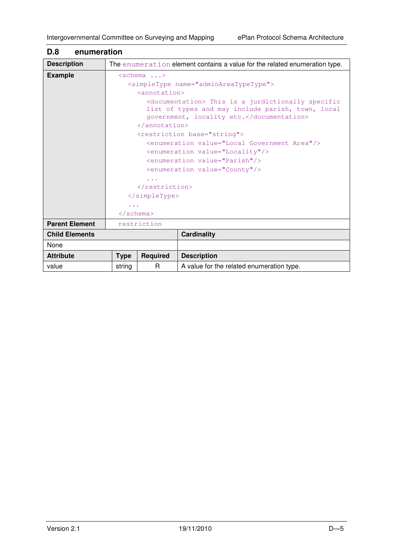| <b>Description</b>    |                                                                                                                                                       |                        | The enumeration element contains a value for the related enumeration type. |  |
|-----------------------|-------------------------------------------------------------------------------------------------------------------------------------------------------|------------------------|----------------------------------------------------------------------------|--|
| <b>Example</b>        |                                                                                                                                                       | $\langle$ schema >     |                                                                            |  |
|                       |                                                                                                                                                       |                        | <simpletype name="adminAreaTypeType"></simpletype>                         |  |
|                       | <annotation></annotation>                                                                                                                             |                        |                                                                            |  |
|                       | <documentation> This is a jurdictionally specific<br/>list of types and may include parish, town, local<br/>government, locality etc.</documentation> |                        |                                                                            |  |
|                       |                                                                                                                                                       | $\langle$ /annotation> |                                                                            |  |
|                       |                                                                                                                                                       |                        | <restriction base="string"></restriction>                                  |  |
|                       |                                                                                                                                                       |                        | <enumeration value="Local Government Area"></enumeration>                  |  |
|                       | <enumeration value="Locality"></enumeration>                                                                                                          |                        |                                                                            |  |
|                       | <enumeration value="Parish"></enumeration>                                                                                                            |                        |                                                                            |  |
|                       | <enumeration value="County"></enumeration>                                                                                                            |                        |                                                                            |  |
|                       |                                                                                                                                                       |                        |                                                                            |  |
|                       |                                                                                                                                                       |                        |                                                                            |  |
|                       | $\langle$ /simpleType>                                                                                                                                |                        |                                                                            |  |
|                       | $\cdots$                                                                                                                                              |                        |                                                                            |  |
|                       | $\langle$ /schema>                                                                                                                                    |                        |                                                                            |  |
| <b>Parent Element</b> |                                                                                                                                                       | restriction            |                                                                            |  |
| <b>Child Elements</b> |                                                                                                                                                       |                        | <b>Cardinality</b>                                                         |  |
| None                  |                                                                                                                                                       |                        |                                                                            |  |
| <b>Attribute</b>      | <b>Type</b>                                                                                                                                           | Required               | <b>Description</b>                                                         |  |
| value                 | string                                                                                                                                                | R                      | A value for the related enumeration type.                                  |  |

# **D.8 enumeration**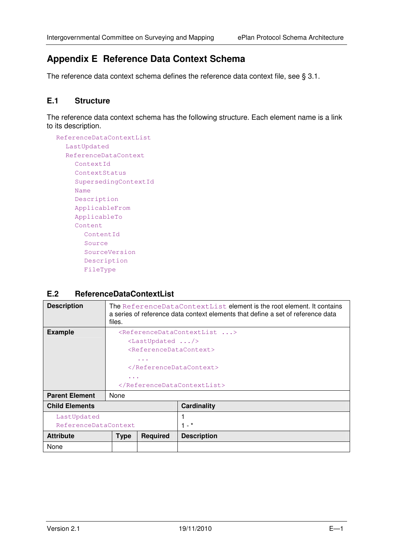# **Appendix E Reference Data Context Schema**

The reference data context schema defines the reference data context file, see § 3.1.

#### **E.1 Structure**

The reference data context schema has the following structure. Each element name is a link to its description.

```
ReferenceDataContextList 
  LastUpdated 
  ReferenceDataContext 
    ContextId 
    ContextStatus 
     SupersedingContextId 
    Name 
     Description 
    ApplicableFrom 
    ApplicableTo 
     Content 
       ContentId 
       Source 
       SourceVersion 
       Description 
       FileType
```
#### **E.2 ReferenceDataContextList**

| <b>Description</b>    | The ReferenceDataContextList element is the root element. It contains<br>a series of reference data context elements that define a set of reference data<br>files. |                                               |                                                       |
|-----------------------|--------------------------------------------------------------------------------------------------------------------------------------------------------------------|-----------------------------------------------|-------------------------------------------------------|
| <b>Example</b>        |                                                                                                                                                                    |                                               | <referencedatacontextlist></referencedatacontextlist> |
|                       |                                                                                                                                                                    | $\langle$ LastUpdated />                      |                                                       |
|                       |                                                                                                                                                                    | <referencedatacontext></referencedatacontext> |                                                       |
|                       |                                                                                                                                                                    | $\cdots$                                      |                                                       |
|                       |                                                                                                                                                                    |                                               |                                                       |
|                       | $\cdots$                                                                                                                                                           |                                               |                                                       |
|                       |                                                                                                                                                                    |                                               |                                                       |
| <b>Parent Element</b> | None                                                                                                                                                               |                                               |                                                       |
| <b>Child Elements</b> |                                                                                                                                                                    |                                               | Cardinality                                           |
| LastUpdated           |                                                                                                                                                                    |                                               |                                                       |
|                       | ReferenceDataContext                                                                                                                                               |                                               | $-$ *                                                 |
| <b>Attribute</b>      | <b>Type</b>                                                                                                                                                        | <b>Required</b>                               | <b>Description</b>                                    |
| None                  |                                                                                                                                                                    |                                               |                                                       |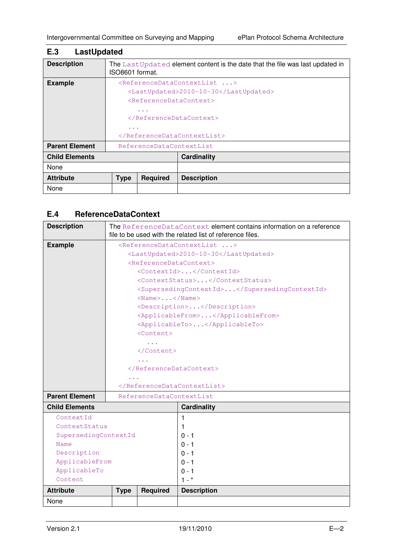| LastUpdated<br>E.3    |                 |                                               |                                                                               |
|-----------------------|-----------------|-----------------------------------------------|-------------------------------------------------------------------------------|
| <b>Description</b>    | ISO8601 format. |                                               | The LastUpdated element content is the date that the file was last updated in |
| <b>Example</b>        |                 |                                               | <referencedatacontextlist></referencedatacontextlist>                         |
|                       |                 |                                               | <lastupdated>2010-10-30</lastupdated>                                         |
|                       |                 | <referencedatacontext></referencedatacontext> |                                                                               |
|                       |                 | $\cdots$                                      |                                                                               |
|                       |                 |                                               |                                                                               |
|                       | $\cdots$        |                                               |                                                                               |
|                       |                 |                                               |                                                                               |
| <b>Parent Element</b> |                 | ReferenceDataContextList                      |                                                                               |
| <b>Child Elements</b> |                 |                                               | Cardinality                                                                   |
| None                  |                 |                                               |                                                                               |
| <b>Attribute</b>      | <b>Type</b>     | <b>Required</b>                               | <b>Description</b>                                                            |
| None                  |                 |                                               |                                                                               |

## **E.4 ReferenceDataContext**

| <b>Description</b>    |                                 |                                                    | The ReferenceDataContext element contains information on a reference<br>file to be used with the related list of reference files. |  |
|-----------------------|---------------------------------|----------------------------------------------------|-----------------------------------------------------------------------------------------------------------------------------------|--|
| <b>Example</b>        |                                 |                                                    | <referencedatacontextlist></referencedatacontextlist>                                                                             |  |
|                       |                                 |                                                    | <lastupdated>2010-10-30</lastupdated>                                                                                             |  |
|                       |                                 | <referencedatacontext></referencedatacontext>      |                                                                                                                                   |  |
|                       |                                 |                                                    | <contextid></contextid>                                                                                                           |  |
|                       | <contextstatus></contextstatus> |                                                    |                                                                                                                                   |  |
|                       |                                 |                                                    | <supersedingcontextid></supersedingcontextid>                                                                                     |  |
|                       |                                 | $\langle$ Name $\rangle$ $\langle$ /Name $\rangle$ |                                                                                                                                   |  |
|                       |                                 |                                                    | <description></description>                                                                                                       |  |
|                       |                                 |                                                    | <applicablefrom></applicablefrom>                                                                                                 |  |
|                       |                                 |                                                    | <applicableto></applicableto>                                                                                                     |  |
|                       |                                 | $<$ Content>                                       |                                                                                                                                   |  |
|                       |                                 | $\sim 100$                                         |                                                                                                                                   |  |
|                       |                                 |                                                    |                                                                                                                                   |  |
|                       |                                 |                                                    |                                                                                                                                   |  |
|                       |                                 |                                                    |                                                                                                                                   |  |
|                       |                                 |                                                    |                                                                                                                                   |  |
|                       |                                 |                                                    |                                                                                                                                   |  |
| <b>Parent Element</b> |                                 | ReferenceDataContextList                           |                                                                                                                                   |  |
| <b>Child Elements</b> |                                 |                                                    | <b>Cardinality</b>                                                                                                                |  |
| ContextId             |                                 |                                                    | 1                                                                                                                                 |  |
| ContextStatus         |                                 |                                                    | 1                                                                                                                                 |  |
| SupersedingContextId  |                                 |                                                    | $0 - 1$                                                                                                                           |  |
| Name                  |                                 |                                                    | $0 - 1$                                                                                                                           |  |
| Description           |                                 |                                                    | $0 - 1$                                                                                                                           |  |
| ApplicableFrom        |                                 |                                                    | $0 - 1$                                                                                                                           |  |
| ApplicableTo          |                                 |                                                    | $0 - 1$                                                                                                                           |  |
| Content               |                                 |                                                    | $1 - *$                                                                                                                           |  |
| <b>Attribute</b>      | <b>Type</b>                     | <b>Required</b>                                    | <b>Description</b>                                                                                                                |  |
| None                  |                                 |                                                    |                                                                                                                                   |  |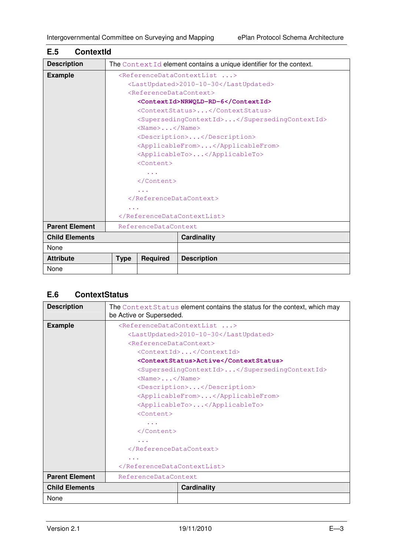| <b>ContextId</b><br>E.5 |                                                       |                                                    |                                                                     |  |
|-------------------------|-------------------------------------------------------|----------------------------------------------------|---------------------------------------------------------------------|--|
| <b>Description</b>      |                                                       |                                                    | The ContextId element contains a unique identifier for the context. |  |
| <b>Example</b>          | <referencedatacontextlist></referencedatacontextlist> |                                                    |                                                                     |  |
|                         |                                                       |                                                    | <lastupdated>2010-10-30</lastupdated>                               |  |
|                         |                                                       | <referencedatacontext></referencedatacontext>      |                                                                     |  |
|                         |                                                       |                                                    | <contextid>NRWQLD-RD-6</contextid>                                  |  |
|                         |                                                       |                                                    | <contextstatus></contextstatus>                                     |  |
|                         |                                                       |                                                    | <supersedingcontextid></supersedingcontextid>                       |  |
|                         |                                                       | $\langle$ Name $\rangle$ $\langle$ /Name $\rangle$ |                                                                     |  |
|                         |                                                       |                                                    | <description></description>                                         |  |
|                         | <applicablefrom></applicablefrom>                     |                                                    |                                                                     |  |
|                         | <applicableto></applicableto>                         |                                                    |                                                                     |  |
|                         | $<$ Content>                                          |                                                    |                                                                     |  |
|                         |                                                       |                                                    |                                                                     |  |
|                         |                                                       |                                                    |                                                                     |  |
|                         | .                                                     |                                                    |                                                                     |  |
|                         |                                                       |                                                    |                                                                     |  |
|                         |                                                       |                                                    |                                                                     |  |
|                         |                                                       |                                                    |                                                                     |  |
| <b>Parent Element</b>   |                                                       | ReferenceDataContext                               |                                                                     |  |
| <b>Child Elements</b>   |                                                       |                                                    | <b>Cardinality</b>                                                  |  |
| None                    |                                                       |                                                    |                                                                     |  |
| <b>Attribute</b>        | <b>Type</b>                                           | <b>Required</b>                                    | <b>Description</b>                                                  |  |
| None                    |                                                       |                                                    |                                                                     |  |

# **E.6 ContextStatus**

| <b>Description</b>    | The ContextStatus element contains the status for the context, which may<br>be Active or Superseded. |  |  |  |  |
|-----------------------|------------------------------------------------------------------------------------------------------|--|--|--|--|
| <b>Example</b>        | <referencedatacontextlist></referencedatacontextlist>                                                |  |  |  |  |
|                       | <lastupdated>2010-10-30</lastupdated>                                                                |  |  |  |  |
|                       | <referencedatacontext></referencedatacontext>                                                        |  |  |  |  |
|                       | <contextid></contextid>                                                                              |  |  |  |  |
|                       | <contextstatus>Active</contextstatus>                                                                |  |  |  |  |
|                       | <supersedingcontextid></supersedingcontextid>                                                        |  |  |  |  |
|                       | $\langle$ Name $\rangle$ $\langle$ /Name $\rangle$                                                   |  |  |  |  |
|                       | <description></description>                                                                          |  |  |  |  |
|                       | <applicablefrom></applicablefrom><br><applicableto></applicableto>                                   |  |  |  |  |
|                       |                                                                                                      |  |  |  |  |
|                       | $<$ Content>                                                                                         |  |  |  |  |
|                       | $\sim$ $\sim$ $\sim$                                                                                 |  |  |  |  |
|                       | $\langle$ /Content>                                                                                  |  |  |  |  |
|                       |                                                                                                      |  |  |  |  |
|                       |                                                                                                      |  |  |  |  |
|                       |                                                                                                      |  |  |  |  |
|                       |                                                                                                      |  |  |  |  |
| <b>Parent Element</b> | ReferenceDataContext                                                                                 |  |  |  |  |
| <b>Child Elements</b> | <b>Cardinality</b>                                                                                   |  |  |  |  |
| None                  |                                                                                                      |  |  |  |  |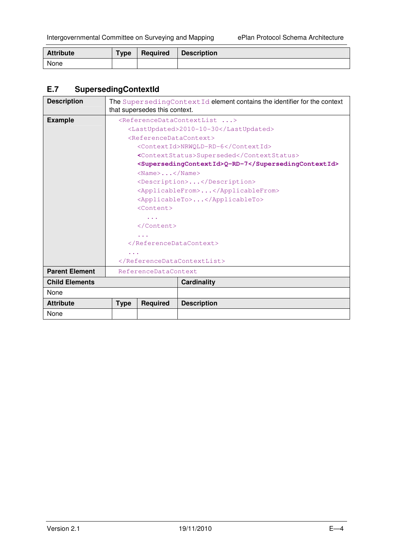| <b>Attribute</b> | <b>Type</b> | Required | <b>Description</b> |
|------------------|-------------|----------|--------------------|
| None             |             |          |                    |

# **E.7 SupersedingContextId**

| <b>Description</b>    | The SupersedingContextId element contains the identifier for the context<br>that supersedes this context. |                                                    |                                                     |  |  |
|-----------------------|-----------------------------------------------------------------------------------------------------------|----------------------------------------------------|-----------------------------------------------------|--|--|
|                       |                                                                                                           |                                                    |                                                     |  |  |
| <b>Example</b>        | <referencedatacontextlist></referencedatacontextlist>                                                     |                                                    |                                                     |  |  |
|                       |                                                                                                           |                                                    | <lastupdated>2010-10-30</lastupdated>               |  |  |
|                       |                                                                                                           | <referencedatacontext></referencedatacontext>      |                                                     |  |  |
|                       |                                                                                                           | <contextid>NRWQLD-RD-6</contextid>                 |                                                     |  |  |
|                       |                                                                                                           |                                                    | <contextstatus>Superseded</contextstatus>           |  |  |
|                       |                                                                                                           |                                                    | <supersedingcontextid>Q-RD-7</supersedingcontextid> |  |  |
|                       |                                                                                                           | $\langle$ Name $\rangle$ $\langle$ /Name $\rangle$ |                                                     |  |  |
|                       |                                                                                                           |                                                    | <description></description>                         |  |  |
|                       |                                                                                                           |                                                    | <applicablefrom></applicablefrom>                   |  |  |
|                       |                                                                                                           | <applicableto></applicableto>                      |                                                     |  |  |
|                       |                                                                                                           | $<$ Content>                                       |                                                     |  |  |
|                       |                                                                                                           | $\sim$ $\sim$ $\sim$                               |                                                     |  |  |
|                       |                                                                                                           |                                                    |                                                     |  |  |
|                       |                                                                                                           |                                                    |                                                     |  |  |
|                       |                                                                                                           |                                                    |                                                     |  |  |
|                       | $\sim$ $\sim$ $\sim$                                                                                      |                                                    |                                                     |  |  |
|                       |                                                                                                           |                                                    |                                                     |  |  |
| <b>Parent Element</b> |                                                                                                           | ReferenceDataContext                               |                                                     |  |  |
| <b>Child Elements</b> |                                                                                                           |                                                    | <b>Cardinality</b>                                  |  |  |
| None                  |                                                                                                           |                                                    |                                                     |  |  |
| <b>Attribute</b>      | <b>Type</b>                                                                                               | <b>Required</b>                                    | <b>Description</b>                                  |  |  |
| None                  |                                                                                                           |                                                    |                                                     |  |  |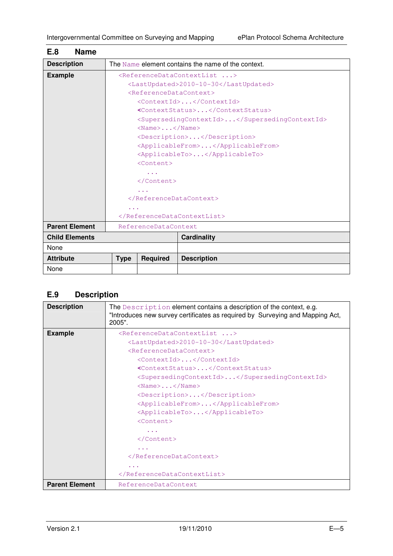| <b>Name</b><br>E.8    |                                               |                                                    |                                                       |  |  |
|-----------------------|-----------------------------------------------|----------------------------------------------------|-------------------------------------------------------|--|--|
| <b>Description</b>    |                                               |                                                    | The Name element contains the name of the context.    |  |  |
| <b>Example</b>        |                                               |                                                    | <referencedatacontextlist></referencedatacontextlist> |  |  |
|                       |                                               |                                                    | <lastupdated>2010-10-30</lastupdated>                 |  |  |
|                       | <referencedatacontext></referencedatacontext> |                                                    |                                                       |  |  |
|                       |                                               |                                                    | <contextid></contextid>                               |  |  |
|                       |                                               |                                                    | <contextstatus></contextstatus>                       |  |  |
|                       |                                               |                                                    | <supersedingcontextid></supersedingcontextid>         |  |  |
|                       |                                               | $\langle$ Name $\rangle$ $\langle$ /Name $\rangle$ |                                                       |  |  |
|                       |                                               |                                                    | <description></description>                           |  |  |
|                       |                                               |                                                    | <applicablefrom></applicablefrom>                     |  |  |
|                       |                                               |                                                    | <applicableto></applicableto>                         |  |  |
|                       | <content></content>                           |                                                    |                                                       |  |  |
|                       |                                               |                                                    |                                                       |  |  |
|                       | $\langle$ /Content>                           |                                                    |                                                       |  |  |
|                       | $\cdots$                                      |                                                    |                                                       |  |  |
|                       |                                               |                                                    |                                                       |  |  |
|                       | $\cdots$                                      |                                                    |                                                       |  |  |
|                       |                                               |                                                    |                                                       |  |  |
| <b>Parent Element</b> | ReferenceDataContext                          |                                                    |                                                       |  |  |
| <b>Child Elements</b> |                                               |                                                    | <b>Cardinality</b>                                    |  |  |
| None                  |                                               |                                                    |                                                       |  |  |
| <b>Attribute</b>      | <b>Type</b>                                   | <b>Required</b>                                    | <b>Description</b>                                    |  |  |
| None                  |                                               |                                                    |                                                       |  |  |

# **E.9 Description**

| <b>Description</b>    | The Description element contains a description of the context, e.g.<br>"Introduces new survey certificates as required by Surveying and Mapping Act,<br>2005". |
|-----------------------|----------------------------------------------------------------------------------------------------------------------------------------------------------------|
| <b>Example</b>        | <referencedatacontextlist></referencedatacontextlist>                                                                                                          |
|                       | <lastupdated>2010-10-30</lastupdated>                                                                                                                          |
|                       | <referencedatacontext></referencedatacontext>                                                                                                                  |
|                       | <contextid></contextid>                                                                                                                                        |
|                       | <contextstatus></contextstatus>                                                                                                                                |
|                       | <supersedingcontextid></supersedingcontextid>                                                                                                                  |
|                       | $\langle$ Name $\rangle$ $\langle$ /Name $\rangle$                                                                                                             |
|                       | <description></description>                                                                                                                                    |
|                       | <applicablefrom></applicablefrom>                                                                                                                              |
|                       | <applicableto></applicableto>                                                                                                                                  |
|                       | $<$ Content>                                                                                                                                                   |
|                       |                                                                                                                                                                |
|                       |                                                                                                                                                                |
|                       |                                                                                                                                                                |
|                       |                                                                                                                                                                |
|                       |                                                                                                                                                                |
|                       |                                                                                                                                                                |
| <b>Parent Element</b> | ReferenceDataContext                                                                                                                                           |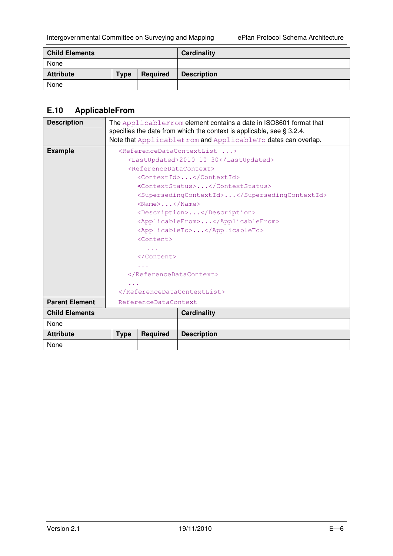| <b>Child Elements</b> |             |          | Cardinality        |
|-----------------------|-------------|----------|--------------------|
| None                  |             |          |                    |
| <b>Attribute</b>      | <b>Type</b> | Required | <b>Description</b> |
| None                  |             |          |                    |

## **E.10 ApplicableFrom**

| <b>Description</b>    | The ApplicableFrom element contains a date in ISO8601 format that<br>specifies the date from which the context is applicable, see $\S 3.2.4$ .<br>Note that ApplicableFrom and ApplicableTo dates can overlap.                                                                                                                                                                                                                                                                                                                                                               |                 |                    |
|-----------------------|------------------------------------------------------------------------------------------------------------------------------------------------------------------------------------------------------------------------------------------------------------------------------------------------------------------------------------------------------------------------------------------------------------------------------------------------------------------------------------------------------------------------------------------------------------------------------|-----------------|--------------------|
| <b>Example</b>        | <referencedatacontextlist><br/><lastupdated>2010-10-30</lastupdated><br/><referencedatacontext><br/><contextid></contextid><br/><contextstatus></contextstatus><br/><supersedingcontextid></supersedingcontextid><br/><math>\langle</math>Name<math>\rangle</math><math>\langle</math>/Name<math>\rangle</math><br/><description></description><br/><applicablefrom></applicablefrom><br/><applicableto></applicableto><br/><math>&lt;</math>Content&gt;<br/><math>\langle</math>/Content&gt;<br/><math>\cdots</math><br/></referencedatacontext></referencedatacontextlist> |                 |                    |
| <b>Parent Element</b> | ReferenceDataContext                                                                                                                                                                                                                                                                                                                                                                                                                                                                                                                                                         |                 |                    |
| <b>Child Elements</b> |                                                                                                                                                                                                                                                                                                                                                                                                                                                                                                                                                                              |                 | <b>Cardinality</b> |
| None                  |                                                                                                                                                                                                                                                                                                                                                                                                                                                                                                                                                                              |                 |                    |
| <b>Attribute</b>      | <b>Type</b>                                                                                                                                                                                                                                                                                                                                                                                                                                                                                                                                                                  | <b>Required</b> | <b>Description</b> |
| None                  |                                                                                                                                                                                                                                                                                                                                                                                                                                                                                                                                                                              |                 |                    |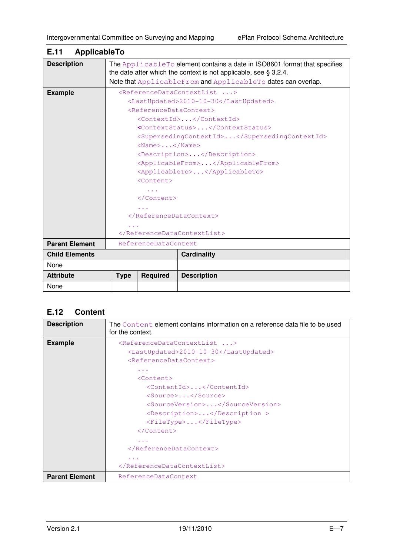| ApplicableTo<br>E.11  |                                                                                                                                                                                                                                                                                                                                                                                                                                                                                                                                               |                 |                                                                                                                                                                                                                    |  |
|-----------------------|-----------------------------------------------------------------------------------------------------------------------------------------------------------------------------------------------------------------------------------------------------------------------------------------------------------------------------------------------------------------------------------------------------------------------------------------------------------------------------------------------------------------------------------------------|-----------------|--------------------------------------------------------------------------------------------------------------------------------------------------------------------------------------------------------------------|--|
| <b>Description</b>    |                                                                                                                                                                                                                                                                                                                                                                                                                                                                                                                                               |                 | The Applicable To element contains a date in ISO8601 format that specifies<br>the date after which the context is not applicable, see $\S 3.2.4$ .<br>Note that ApplicableFrom and ApplicableTo dates can overlap. |  |
| <b>Example</b>        | <referencedatacontextlist><br/><lastupdated>2010-10-30</lastupdated><br/><referencedatacontext><br/><contextid></contextid><br/><contextstatus></contextstatus><br/><supersedingcontextid></supersedingcontextid><br/><math>&lt;</math>Name<math>&gt;</math><math>&lt;</math>/Name<math>&gt;</math><br/><description></description><br/><applicablefrom></applicablefrom><br/><applicableto></applicableto><br/><math>&lt;</math>Content&gt;<br/><math>\langle</math>/Content&gt;<br/></referencedatacontext><br/></referencedatacontextlist> |                 |                                                                                                                                                                                                                    |  |
| <b>Parent Element</b> | ReferenceDataContext                                                                                                                                                                                                                                                                                                                                                                                                                                                                                                                          |                 |                                                                                                                                                                                                                    |  |
| <b>Child Elements</b> |                                                                                                                                                                                                                                                                                                                                                                                                                                                                                                                                               |                 | <b>Cardinality</b>                                                                                                                                                                                                 |  |
| None                  |                                                                                                                                                                                                                                                                                                                                                                                                                                                                                                                                               |                 |                                                                                                                                                                                                                    |  |
| <b>Attribute</b>      | <b>Type</b>                                                                                                                                                                                                                                                                                                                                                                                                                                                                                                                                   | <b>Required</b> | <b>Description</b>                                                                                                                                                                                                 |  |
| None                  |                                                                                                                                                                                                                                                                                                                                                                                                                                                                                                                                               |                 |                                                                                                                                                                                                                    |  |

# **E.12 Content**

| <b>Description</b>    | The Content element contains information on a reference data file to be used<br>for the context. |  |  |  |  |  |  |
|-----------------------|--------------------------------------------------------------------------------------------------|--|--|--|--|--|--|
| <b>Example</b>        | <referencedatacontextlist></referencedatacontextlist>                                            |  |  |  |  |  |  |
|                       | <lastupdated>2010-10-30</lastupdated>                                                            |  |  |  |  |  |  |
|                       | <referencedatacontext></referencedatacontext>                                                    |  |  |  |  |  |  |
|                       | $\cdots$                                                                                         |  |  |  |  |  |  |
|                       | <content></content>                                                                              |  |  |  |  |  |  |
|                       | <contentid></contentid>                                                                          |  |  |  |  |  |  |
|                       | <source/>                                                                                        |  |  |  |  |  |  |
|                       | <sourceversion></sourceversion>                                                                  |  |  |  |  |  |  |
|                       | <description></description>                                                                      |  |  |  |  |  |  |
|                       | <filetype></filetype>                                                                            |  |  |  |  |  |  |
|                       | $\langle$ /Content>                                                                              |  |  |  |  |  |  |
|                       | $\cdots$                                                                                         |  |  |  |  |  |  |
|                       |                                                                                                  |  |  |  |  |  |  |
|                       | $\cdots$                                                                                         |  |  |  |  |  |  |
|                       |                                                                                                  |  |  |  |  |  |  |
| <b>Parent Element</b> | ReferenceDataContext                                                                             |  |  |  |  |  |  |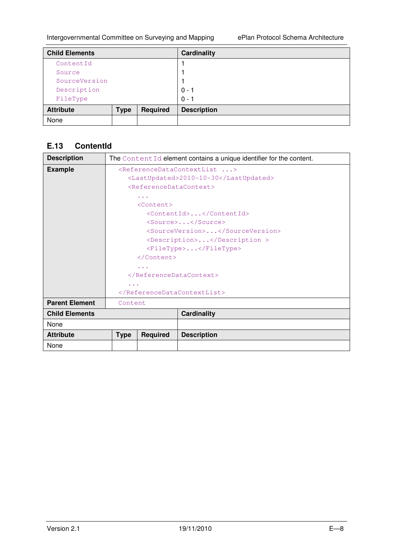| <b>Child Elements</b> |             |                 | <b>Cardinality</b> |
|-----------------------|-------------|-----------------|--------------------|
| ContentId             |             |                 |                    |
| Source                |             |                 |                    |
| SourceVersion         |             |                 |                    |
| Description           |             |                 | $0 - 1$            |
| FileType              |             |                 | $0 - 1$            |
| <b>Attribute</b>      | <b>Type</b> | <b>Required</b> | <b>Description</b> |
| None                  |             |                 |                    |

# **E.13 ContentId**

| <b>Description</b>    | The ContentId element contains a unique identifier for the content. |                                               |                                                       |  |
|-----------------------|---------------------------------------------------------------------|-----------------------------------------------|-------------------------------------------------------|--|
| <b>Example</b>        |                                                                     |                                               | <referencedatacontextlist></referencedatacontextlist> |  |
|                       |                                                                     |                                               | <lastupdated>2010-10-30</lastupdated>                 |  |
|                       |                                                                     | <referencedatacontext></referencedatacontext> |                                                       |  |
|                       | $\sim$ $\sim$ $\sim$                                                |                                               |                                                       |  |
|                       | $<$ Content>                                                        |                                               |                                                       |  |
|                       |                                                                     |                                               | <contentid></contentid>                               |  |
|                       |                                                                     |                                               | <source/>                                             |  |
|                       |                                                                     |                                               | <sourceversion></sourceversion>                       |  |
|                       |                                                                     |                                               | <description></description>                           |  |
|                       | <filetype></filetype>                                               |                                               |                                                       |  |
|                       |                                                                     |                                               |                                                       |  |
|                       | $\cdots$                                                            |                                               |                                                       |  |
|                       |                                                                     |                                               |                                                       |  |
|                       |                                                                     |                                               |                                                       |  |
|                       |                                                                     |                                               |                                                       |  |
| <b>Parent Element</b> | Content                                                             |                                               |                                                       |  |
| <b>Child Elements</b> |                                                                     |                                               | <b>Cardinality</b>                                    |  |
| None                  |                                                                     |                                               |                                                       |  |
| <b>Attribute</b>      | <b>Type</b>                                                         | <b>Required</b>                               | <b>Description</b>                                    |  |
| None                  |                                                                     |                                               |                                                       |  |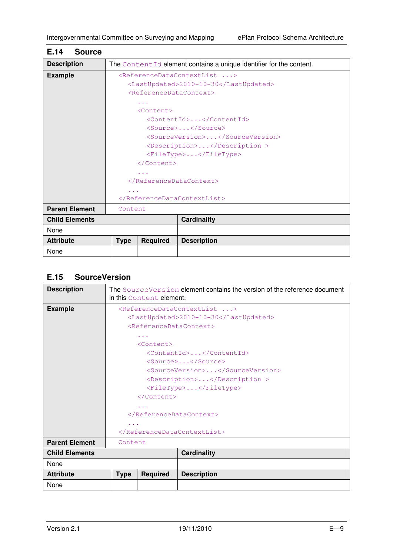| <b>Description</b>    | The ContentId element contains a unique identifier for the content. |                 |                                                       |  |  |
|-----------------------|---------------------------------------------------------------------|-----------------|-------------------------------------------------------|--|--|
| <b>Example</b>        |                                                                     |                 | <referencedatacontextlist></referencedatacontextlist> |  |  |
|                       |                                                                     |                 | <lastupdated>2010-10-30</lastupdated>                 |  |  |
|                       | <referencedatacontext></referencedatacontext>                       |                 |                                                       |  |  |
|                       | $\sim$ $\sim$ $\sim$                                                |                 |                                                       |  |  |
|                       |                                                                     | $<$ Content>    |                                                       |  |  |
|                       |                                                                     |                 | <contentid></contentid>                               |  |  |
|                       |                                                                     |                 | <source/>                                             |  |  |
|                       |                                                                     |                 | <sourceversion></sourceversion>                       |  |  |
|                       | <description></description>                                         |                 |                                                       |  |  |
|                       | <filetype></filetype>                                               |                 |                                                       |  |  |
|                       |                                                                     |                 |                                                       |  |  |
|                       | $\cdots$                                                            |                 |                                                       |  |  |
|                       |                                                                     |                 |                                                       |  |  |
|                       | $\cdots$                                                            |                 |                                                       |  |  |
|                       |                                                                     |                 |                                                       |  |  |
| <b>Parent Element</b> | Content                                                             |                 |                                                       |  |  |
| <b>Child Elements</b> |                                                                     |                 | <b>Cardinality</b>                                    |  |  |
| None                  |                                                                     |                 |                                                       |  |  |
| <b>Attribute</b>      | <b>Type</b>                                                         | <b>Required</b> | <b>Description</b>                                    |  |  |
| None                  |                                                                     |                 |                                                       |  |  |

## **E.14 Source**

# **E.15 SourceVersion**

| <b>Description</b>    | The SourceVersion element contains the version of the reference document<br>in this Content element. |                                               |                                                       |  |  |
|-----------------------|------------------------------------------------------------------------------------------------------|-----------------------------------------------|-------------------------------------------------------|--|--|
| <b>Example</b>        |                                                                                                      |                                               | <referencedatacontextlist></referencedatacontextlist> |  |  |
|                       |                                                                                                      |                                               | <lastupdated>2010-10-30</lastupdated>                 |  |  |
|                       |                                                                                                      | <referencedatacontext></referencedatacontext> |                                                       |  |  |
|                       |                                                                                                      | $\alpha = \alpha = \alpha$                    |                                                       |  |  |
|                       |                                                                                                      | <content></content>                           |                                                       |  |  |
|                       |                                                                                                      |                                               | <contentid></contentid>                               |  |  |
|                       |                                                                                                      |                                               | <source/>                                             |  |  |
|                       |                                                                                                      | <sourceversion></sourceversion>               |                                                       |  |  |
|                       | <description></description>                                                                          |                                               |                                                       |  |  |
|                       | <filetype></filetype>                                                                                |                                               |                                                       |  |  |
|                       |                                                                                                      |                                               |                                                       |  |  |
|                       |                                                                                                      |                                               |                                                       |  |  |
|                       |                                                                                                      |                                               |                                                       |  |  |
|                       | $\cdots$                                                                                             |                                               |                                                       |  |  |
|                       |                                                                                                      |                                               |                                                       |  |  |
| <b>Parent Element</b> | Content                                                                                              |                                               |                                                       |  |  |
| <b>Child Elements</b> |                                                                                                      |                                               | <b>Cardinality</b>                                    |  |  |
| None                  |                                                                                                      |                                               |                                                       |  |  |
| <b>Attribute</b>      | <b>Type</b>                                                                                          | <b>Required</b>                               | <b>Description</b>                                    |  |  |
| None                  |                                                                                                      |                                               |                                                       |  |  |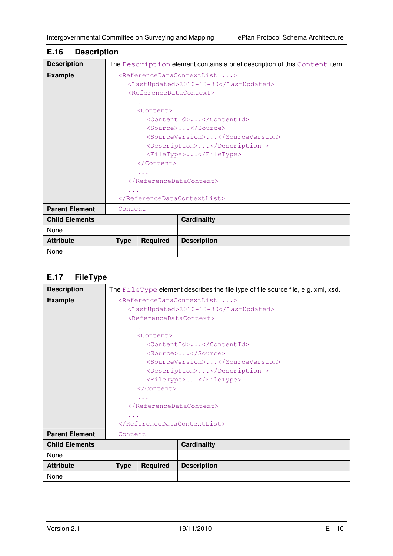| <b>Description</b>    | The Description element contains a brief description of this Content item. |                 |                    |  |  |
|-----------------------|----------------------------------------------------------------------------|-----------------|--------------------|--|--|
| <b>Example</b>        | <referencedatacontextlist></referencedatacontextlist>                      |                 |                    |  |  |
|                       | <lastupdated>2010-10-30</lastupdated>                                      |                 |                    |  |  |
|                       | <referencedatacontext></referencedatacontext>                              |                 |                    |  |  |
|                       | $\cdots$                                                                   |                 |                    |  |  |
|                       | $<$ Content>                                                               |                 |                    |  |  |
|                       | <contentid></contentid>                                                    |                 |                    |  |  |
|                       | $<$ Source> $<$ /Source>                                                   |                 |                    |  |  |
|                       | <sourceversion></sourceversion>                                            |                 |                    |  |  |
|                       | <description></description>                                                |                 |                    |  |  |
|                       | <filetype></filetype>                                                      |                 |                    |  |  |
|                       |                                                                            |                 |                    |  |  |
|                       | $\sim$ $\sim$ $\sim$                                                       |                 |                    |  |  |
|                       | <br>$\cdots$<br>                                                           |                 |                    |  |  |
|                       |                                                                            |                 |                    |  |  |
|                       |                                                                            |                 |                    |  |  |
| <b>Parent Element</b> | Content                                                                    |                 |                    |  |  |
| <b>Child Elements</b> |                                                                            |                 | <b>Cardinality</b> |  |  |
| None                  |                                                                            |                 |                    |  |  |
| <b>Attribute</b>      | <b>Type</b>                                                                | <b>Required</b> | <b>Description</b> |  |  |
| None                  |                                                                            |                 |                    |  |  |

## **E.16 Description**

## **E.17 FileType**

| <b>Description</b>    | The FileType element describes the file type of file source file, e.g. xml, xsd. |                 |                    |  |  |
|-----------------------|----------------------------------------------------------------------------------|-----------------|--------------------|--|--|
| <b>Example</b>        | <referencedatacontextlist></referencedatacontextlist>                            |                 |                    |  |  |
|                       | <lastupdated>2010-10-30</lastupdated>                                            |                 |                    |  |  |
|                       | <referencedatacontext></referencedatacontext>                                    |                 |                    |  |  |
|                       | $\cdots$                                                                         |                 |                    |  |  |
|                       | $<$ Content>                                                                     |                 |                    |  |  |
|                       | <contentid></contentid>                                                          |                 |                    |  |  |
|                       | <source/>                                                                        |                 |                    |  |  |
|                       | <sourceversion></sourceversion>                                                  |                 |                    |  |  |
|                       | <description></description>                                                      |                 |                    |  |  |
|                       | <filetype></filetype>                                                            |                 |                    |  |  |
|                       |                                                                                  |                 |                    |  |  |
|                       | $\cdots$                                                                         |                 |                    |  |  |
|                       |                                                                                  |                 |                    |  |  |
|                       | $\sim$ $\sim$ $\sim$                                                             |                 |                    |  |  |
|                       |                                                                                  |                 |                    |  |  |
| <b>Parent Element</b> | Content                                                                          |                 |                    |  |  |
| <b>Child Elements</b> |                                                                                  |                 | <b>Cardinality</b> |  |  |
| None                  |                                                                                  |                 |                    |  |  |
| <b>Attribute</b>      | <b>Type</b>                                                                      | <b>Required</b> | <b>Description</b> |  |  |
| None                  |                                                                                  |                 |                    |  |  |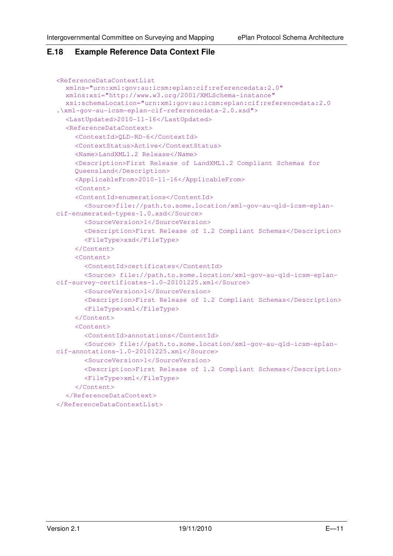#### **E.18 Example Reference Data Context File**

```
<ReferenceDataContextList 
   xmlns="urn:xml:gov:au:icsm:eplan:cif:referencedata:2.0" 
   xmlns:xsi="http://www.w3.org/2001/XMLSchema-instance" 
   xsi:schemaLocation="urn:xml:gov:au:icsm:eplan:cif:referencedata:2.0 
.\xml-gov-au-icsm-eplan-cif-referencedata-2.0.xsd">
  <LastUpdated>2010-11-16</LastUpdated> 
  <ReferenceDataContext> 
     <ContextId>QLD-RD-6</ContextId> 
     <ContextStatus>Active</ContextStatus> 
     <Name>LandXML1.2 Release</Name> 
     <Description>First Release of LandXML1.2 Compliant Schemas for 
     Queensland</Description> 
     <ApplicableFrom>2010-11-16</ApplicableFrom> 
     <Content> 
     <ContentId>enumerations</ContentId> 
        <Source>file://path.to.some.location/xml-gov-au-qld-icsm-eplan-
cif-enumerated-types-1.0.xsd</Source> 
        <SourceVersion>1</SourceVersion> 
        <Description>First Release of 1.2 Compliant Schemas</Description> 
        <FileType>xsd</FileType> 
      </Content> 
      <Content> 
        <ContentId>certificates</ContentId> 
        <Source> file://path.to.some.location/xml-gov-au-qld-icsm-eplan-
cif-survey-certificates-1.0-20101225.xml</Source> 
        <SourceVersion>1</SourceVersion> 
        <Description>First Release of 1.2 Compliant Schemas</Description> 
        <FileType>xml</FileType> 
      </Content> 
      <Content> 
        <ContentId>annotations</ContentId> 
        <Source> file://path.to.some.location/xml-gov-au-qld-icsm-eplan-
cif-annotations-1.0-20101225.xml</Source> 
        <SourceVersion>1</SourceVersion> 
        <Description>First Release of 1.2 Compliant Schemas</Description> 
        <FileType>xml</FileType> 
      </Content> 
   </ReferenceDataContext> 
</ReferenceDataContextList>
```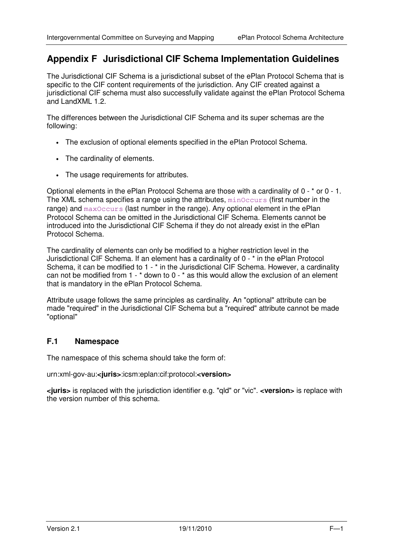# **Appendix F Jurisdictional CIF Schema Implementation Guidelines**

The Jurisdictional CIF Schema is a jurisdictional subset of the ePlan Protocol Schema that is specific to the CIF content requirements of the jurisdiction. Any CIF created against a jurisdictional CIF schema must also successfully validate against the ePlan Protocol Schema and LandXML 1.2.

The differences between the Jurisdictional CIF Schema and its super schemas are the following:

- The exclusion of optional elements specified in the ePlan Protocol Schema.
- The cardinality of elements.
- The usage requirements for attributes.

Optional elements in the ePlan Protocol Schema are those with a cardinality of 0 - \* or 0 - 1. The XML schema specifies a range using the attributes,  $minOccurs$  (first number in the range) and maxOccurs (last number in the range). Any optional element in the ePlan Protocol Schema can be omitted in the Jurisdictional CIF Schema. Elements cannot be introduced into the Jurisdictional CIF Schema if they do not already exist in the ePlan Protocol Schema.

The cardinality of elements can only be modified to a higher restriction level in the Jurisdictional CIF Schema. If an element has a cardinality of 0 - \* in the ePlan Protocol Schema, it can be modified to 1 - \* in the Jurisdictional CIF Schema. However, a cardinality can not be modified from 1 - \* down to 0 - \* as this would allow the exclusion of an element that is mandatory in the ePlan Protocol Schema.

Attribute usage follows the same principles as cardinality. An "optional" attribute can be made "required" in the Jurisdictional CIF Schema but a "required" attribute cannot be made "optional"

#### **F.1 Namespace**

The namespace of this schema should take the form of:

urn:xml-gov-au:**<juris>**:icsm:eplan:cif:protocol:**<version>** 

**<juris>** is replaced with the jurisdiction identifier e.g. "qld" or "vic". **<version>** is replace with the version number of this schema.